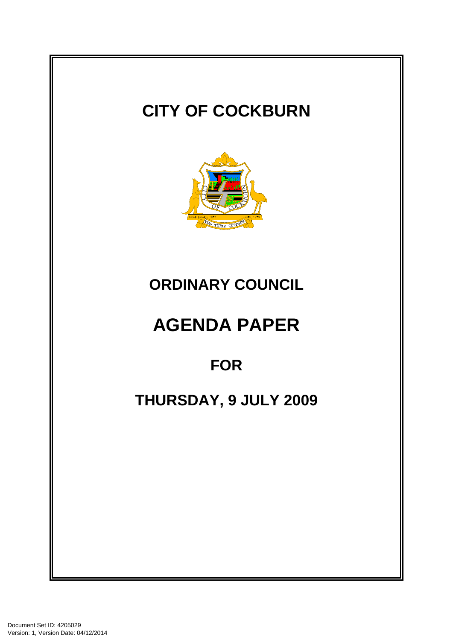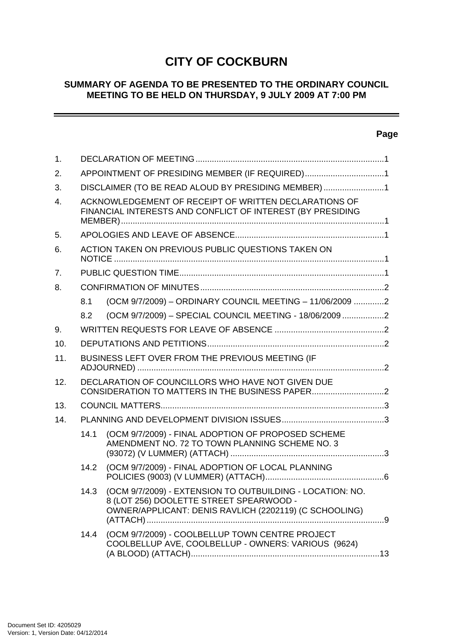# **CITY OF COCKBURN**

# **SUMMARY OF AGENDA TO BE PRESENTED TO THE ORDINARY COUNCIL MEETING TO BE HELD ON THURSDAY, 9 JULY 2009 AT 7:00 PM**

# **Page**

 $\overline{\phantom{a}}$ 

| 1.               |                                                    |                                                                                                                                                                     |  |
|------------------|----------------------------------------------------|---------------------------------------------------------------------------------------------------------------------------------------------------------------------|--|
| 2.               | APPOINTMENT OF PRESIDING MEMBER (IF REQUIRED)1     |                                                                                                                                                                     |  |
| 3.               | DISCLAIMER (TO BE READ ALOUD BY PRESIDING MEMBER)1 |                                                                                                                                                                     |  |
| $\overline{4}$ . |                                                    | ACKNOWLEDGEMENT OF RECEIPT OF WRITTEN DECLARATIONS OF<br>FINANCIAL INTERESTS AND CONFLICT OF INTEREST (BY PRESIDING                                                 |  |
| 5.               |                                                    |                                                                                                                                                                     |  |
| 6.               |                                                    | ACTION TAKEN ON PREVIOUS PUBLIC QUESTIONS TAKEN ON                                                                                                                  |  |
| 7.               |                                                    |                                                                                                                                                                     |  |
| 8.               |                                                    |                                                                                                                                                                     |  |
|                  | 8.1                                                | (OCM 9/7/2009) - ORDINARY COUNCIL MEETING - 11/06/2009 2                                                                                                            |  |
|                  | 8.2                                                | (OCM 9/7/2009) - SPECIAL COUNCIL MEETING - 18/06/2009 2                                                                                                             |  |
| 9.               |                                                    |                                                                                                                                                                     |  |
| 10.              |                                                    |                                                                                                                                                                     |  |
| 11.              | BUSINESS LEFT OVER FROM THE PREVIOUS MEETING (IF   |                                                                                                                                                                     |  |
| 12.              |                                                    | DECLARATION OF COUNCILLORS WHO HAVE NOT GIVEN DUE                                                                                                                   |  |
| 13.              |                                                    |                                                                                                                                                                     |  |
| 14.              |                                                    |                                                                                                                                                                     |  |
|                  | 14.1                                               | (OCM 9/7/2009) - FINAL ADOPTION OF PROPOSED SCHEME<br>AMENDMENT NO. 72 TO TOWN PLANNING SCHEME NO. 3                                                                |  |
|                  | 14.2                                               | (OCM 9/7/2009) - FINAL ADOPTION OF LOCAL PLANNING                                                                                                                   |  |
|                  |                                                    | 14.3 (OCM 9/7/2009) - EXTENSION TO OUTBUILDING - LOCATION: NO.<br>8 (LOT 256) DOOLETTE STREET SPEARWOOD -<br>OWNER/APPLICANT: DENIS RAVLICH (2202119) (C SCHOOLING) |  |
|                  | 14.4                                               | (OCM 9/7/2009) - COOLBELLUP TOWN CENTRE PROJECT<br>COOLBELLUP AVE, COOLBELLUP - OWNERS: VARIOUS (9624)                                                              |  |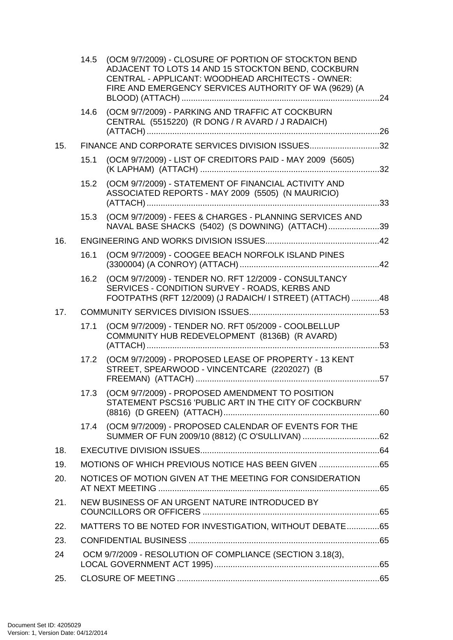|     |                                                           | 14.5 (OCM 9/7/2009) - CLOSURE OF PORTION OF STOCKTON BEND<br>ADJACENT TO LOTS 14 AND 15 STOCKTON BEND, COCKBURN<br>CENTRAL - APPLICANT: WOODHEAD ARCHITECTS - OWNER:<br>FIRE AND EMERGENCY SERVICES AUTHORITY OF WA (9629) (A |  |
|-----|-----------------------------------------------------------|-------------------------------------------------------------------------------------------------------------------------------------------------------------------------------------------------------------------------------|--|
|     | 14.6                                                      | (OCM 9/7/2009) - PARKING AND TRAFFIC AT COCKBURN<br>CENTRAL (5515220) (R DONG / R AVARD / J RADAICH)                                                                                                                          |  |
| 15. |                                                           | FINANCE AND CORPORATE SERVICES DIVISION ISSUES32                                                                                                                                                                              |  |
|     | 15.1                                                      | (OCM 9/7/2009) - LIST OF CREDITORS PAID - MAY 2009 (5605)                                                                                                                                                                     |  |
|     |                                                           | 15.2 (OCM 9/7/2009) - STATEMENT OF FINANCIAL ACTIVITY AND<br>ASSOCIATED REPORTS - MAY 2009 (5505) (N MAURICIO)                                                                                                                |  |
|     | 15.3                                                      | (OCM 9/7/2009) - FEES & CHARGES - PLANNING SERVICES AND<br>NAVAL BASE SHACKS (5402) (S DOWNING) (ATTACH)39                                                                                                                    |  |
| 16. |                                                           |                                                                                                                                                                                                                               |  |
|     | 16.1                                                      | (OCM 9/7/2009) - COOGEE BEACH NORFOLK ISLAND PINES                                                                                                                                                                            |  |
|     | 16.2                                                      | (OCM 9/7/2009) - TENDER NO. RFT 12/2009 - CONSULTANCY<br>SERVICES - CONDITION SURVEY - ROADS, KERBS AND<br>FOOTPATHS (RFT 12/2009) (J RADAICH/ I STREET) (ATTACH) 48                                                          |  |
| 17. |                                                           |                                                                                                                                                                                                                               |  |
|     | 17.1                                                      | (OCM 9/7/2009) - TENDER NO. RFT 05/2009 - COOLBELLUP<br>COMMUNITY HUB REDEVELOPMENT (8136B) (R AVARD)                                                                                                                         |  |
|     | 17.2                                                      | (OCM 9/7/2009) - PROPOSED LEASE OF PROPERTY - 13 KENT<br>STREET, SPEARWOOD - VINCENTCARE (2202027) (B                                                                                                                         |  |
|     |                                                           | 17.3 (OCM 9/7/2009) - PROPOSED AMENDMENT TO POSITION<br>STATEMENT PSCS16 'PUBLIC ART IN THE CITY OF COCKBURN'                                                                                                                 |  |
|     |                                                           | 17.4 (OCM 9/7/2009) - PROPOSED CALENDAR OF EVENTS FOR THE                                                                                                                                                                     |  |
| 18. |                                                           |                                                                                                                                                                                                                               |  |
| 19. |                                                           | MOTIONS OF WHICH PREVIOUS NOTICE HAS BEEN GIVEN 65                                                                                                                                                                            |  |
| 20. | NOTICES OF MOTION GIVEN AT THE MEETING FOR CONSIDERATION  |                                                                                                                                                                                                                               |  |
| 21. | NEW BUSINESS OF AN URGENT NATURE INTRODUCED BY            |                                                                                                                                                                                                                               |  |
| 22. |                                                           | MATTERS TO BE NOTED FOR INVESTIGATION, WITHOUT DEBATE65                                                                                                                                                                       |  |
| 23. |                                                           |                                                                                                                                                                                                                               |  |
| 24  | OCM 9/7/2009 - RESOLUTION OF COMPLIANCE (SECTION 3.18(3), |                                                                                                                                                                                                                               |  |
| 25. |                                                           |                                                                                                                                                                                                                               |  |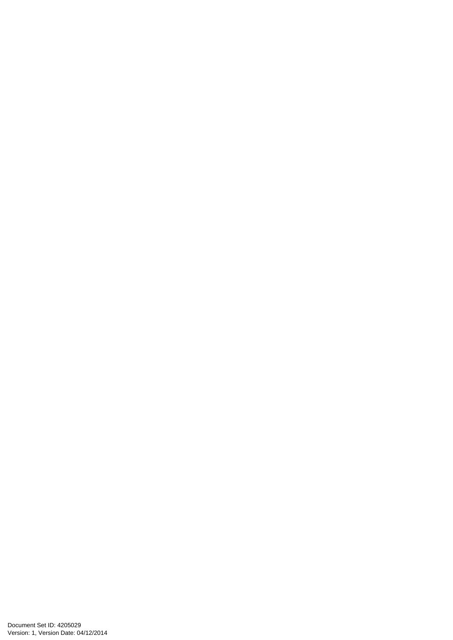Document Set ID: 4205029<br>Version: 1, Version Date: 04/12/2014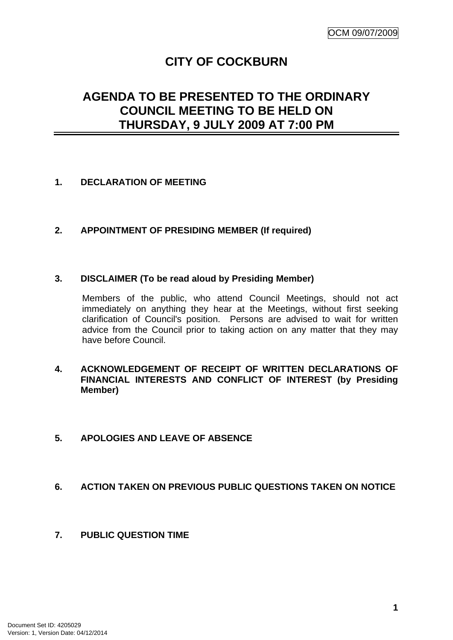# **CITY OF COCKBURN**

# <span id="page-4-0"></span>**AGENDA TO BE PRESENTED TO THE ORDINARY COUNCIL MEETING TO BE HELD ON THURSDAY, 9 JULY 2009 AT 7:00 PM**

# **1. DECLARATION OF MEETING**

# **2. APPOINTMENT OF PRESIDING MEMBER (If required)**

#### **3. DISCLAIMER (To be read aloud by Presiding Member)**

Members of the public, who attend Council Meetings, should not act immediately on anything they hear at the Meetings, without first seeking clarification of Council's position. Persons are advised to wait for written advice from the Council prior to taking action on any matter that they may have before Council.

#### **4. ACKNOWLEDGEMENT OF RECEIPT OF WRITTEN DECLARATIONS OF FINANCIAL INTERESTS AND CONFLICT OF INTEREST (by Presiding Member)**

# **5. APOLOGIES AND LEAVE OF ABSENCE**

#### **6. ACTION TAKEN ON PREVIOUS PUBLIC QUESTIONS TAKEN ON NOTICE**

# **7. PUBLIC QUESTION TIME**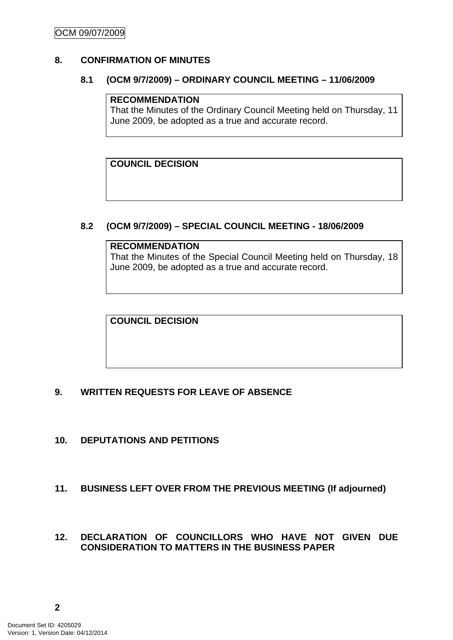# <span id="page-5-0"></span>**8. CONFIRMATION OF MINUTES**

#### **8.1 (OCM 9/7/2009) – ORDINARY COUNCIL MEETING – 11/06/2009**

#### **RECOMMENDATION**

That the Minutes of the Ordinary Council Meeting held on Thursday, 11 June 2009, be adopted as a true and accurate record.

**COUNCIL DECISION** 

# **8.2 (OCM 9/7/2009) – SPECIAL COUNCIL MEETING - 18/06/2009**

#### **RECOMMENDATION**

That the Minutes of the Special Council Meeting held on Thursday, 18 June 2009, be adopted as a true and accurate record.

**COUNCIL DECISION** 

# **9. WRITTEN REQUESTS FOR LEAVE OF ABSENCE**

**10. DEPUTATIONS AND PETITIONS** 

#### **11. BUSINESS LEFT OVER FROM THE PREVIOUS MEETING (If adjourned)**

#### **12. DECLARATION OF COUNCILLORS WHO HAVE NOT GIVEN DUE CONSIDERATION TO MATTERS IN THE BUSINESS PAPER**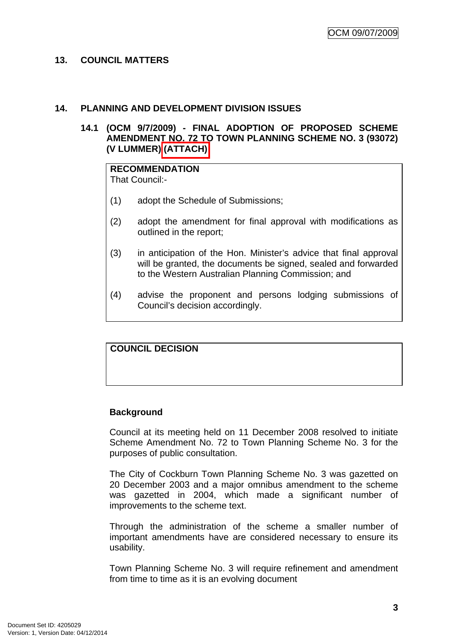#### <span id="page-6-0"></span>**13. COUNCIL MATTERS**

#### **14. PLANNING AND DEVELOPMENT DIVISION ISSUES**

## **14.1 (OCM 9/7/2009) - FINAL ADOPTION OF PROPOSED SCHEME AMENDMENT NO. 72 TO TOWN PLANNING SCHEME NO. 3 (93072) (V LUMMER) (ATTACH)**

# **RECOMMENDATION**

That Council:-

- (1) adopt the Schedule of Submissions;
- (2) adopt the amendment for final approval with modifications as outlined in the report;
- (3) in anticipation of the Hon. Minister's advice that final approval will be granted, the documents be signed, sealed and forwarded to the Western Australian Planning Commission; and
- (4) advise the proponent and persons lodging submissions of Council's decision accordingly.

# **COUNCIL DECISION**

#### **Background**

Council at its meeting held on 11 December 2008 resolved to initiate Scheme Amendment No. 72 to Town Planning Scheme No. 3 for the purposes of public consultation.

The City of Cockburn Town Planning Scheme No. 3 was gazetted on 20 December 2003 and a major omnibus amendment to the scheme was gazetted in 2004, which made a significant number of improvements to the scheme text.

Through the administration of the scheme a smaller number of important amendments have are considered necessary to ensure its usability.

Town Planning Scheme No. 3 will require refinement and amendment from time to time as it is an evolving document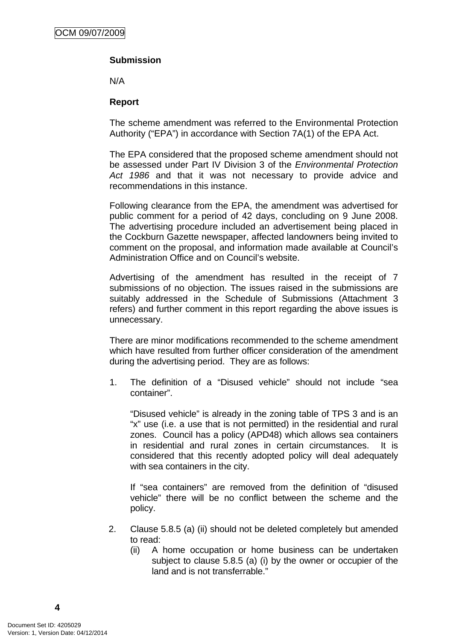# **Submission**

N/A

#### **Report**

The scheme amendment was referred to the Environmental Protection Authority ("EPA") in accordance with Section 7A(1) of the EPA Act.

The EPA considered that the proposed scheme amendment should not be assessed under Part IV Division 3 of the *Environmental Protection Act 1986* and that it was not necessary to provide advice and recommendations in this instance.

Following clearance from the EPA, the amendment was advertised for public comment for a period of 42 days, concluding on 9 June 2008. The advertising procedure included an advertisement being placed in the Cockburn Gazette newspaper, affected landowners being invited to comment on the proposal, and information made available at Council's Administration Office and on Council's website.

Advertising of the amendment has resulted in the receipt of 7 submissions of no objection. The issues raised in the submissions are suitably addressed in the Schedule of Submissions (Attachment 3 refers) and further comment in this report regarding the above issues is unnecessary.

There are minor modifications recommended to the scheme amendment which have resulted from further officer consideration of the amendment during the advertising period. They are as follows:

1. The definition of a "Disused vehicle" should not include "sea container".

"Disused vehicle" is already in the zoning table of TPS 3 and is an "x" use (i.e. a use that is not permitted) in the residential and rural zones. Council has a policy (APD48) which allows sea containers in residential and rural zones in certain circumstances. It is considered that this recently adopted policy will deal adequately with sea containers in the city.

If "sea containers" are removed from the definition of "disused vehicle" there will be no conflict between the scheme and the policy.

- 2. Clause 5.8.5 (a) (ii) should not be deleted completely but amended to read:
	- (ii) A home occupation or home business can be undertaken subject to clause 5.8.5 (a) (i) by the owner or occupier of the land and is not transferrable."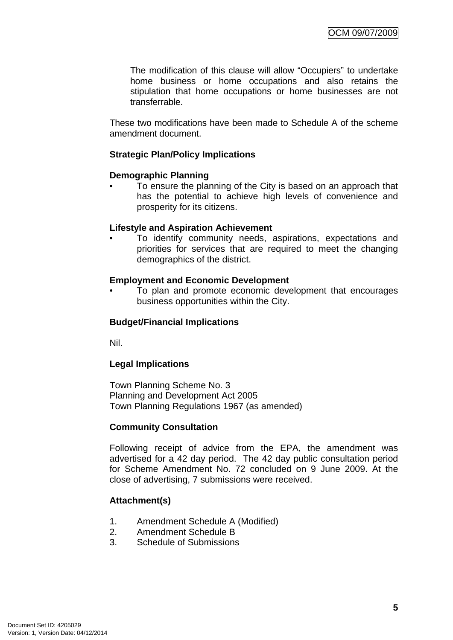The modification of this clause will allow "Occupiers" to undertake home business or home occupations and also retains the stipulation that home occupations or home businesses are not transferrable.

These two modifications have been made to Schedule A of the scheme amendment document.

#### **Strategic Plan/Policy Implications**

#### **Demographic Planning**

• To ensure the planning of the City is based on an approach that has the potential to achieve high levels of convenience and prosperity for its citizens.

#### **Lifestyle and Aspiration Achievement**

• To identify community needs, aspirations, expectations and priorities for services that are required to meet the changing demographics of the district.

#### **Employment and Economic Development**

• To plan and promote economic development that encourages business opportunities within the City.

#### **Budget/Financial Implications**

Nil.

#### **Legal Implications**

Town Planning Scheme No. 3 Planning and Development Act 2005 Town Planning Regulations 1967 (as amended)

#### **Community Consultation**

Following receipt of advice from the EPA, the amendment was advertised for a 42 day period. The 42 day public consultation period for Scheme Amendment No. 72 concluded on 9 June 2009. At the close of advertising, 7 submissions were received.

#### **Attachment(s)**

- 1. Amendment Schedule A (Modified)
- 2. Amendment Schedule B
- 3. Schedule of Submissions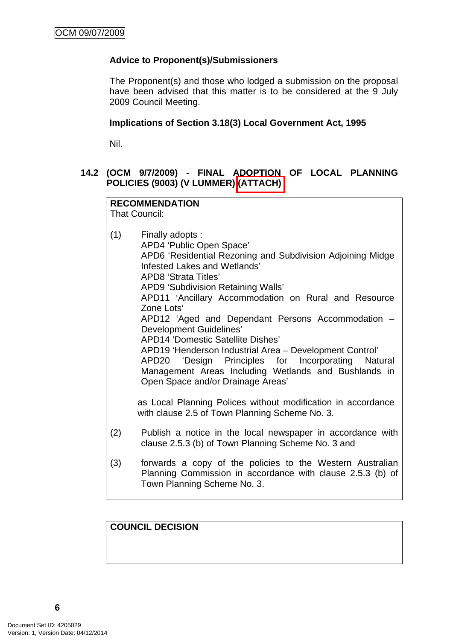# <span id="page-9-0"></span>**Advice to Proponent(s)/Submissioners**

The Proponent(s) and those who lodged a submission on the proposal have been advised that this matter is to be considered at the 9 July 2009 Council Meeting.

## **Implications of Section 3.18(3) Local Government Act, 1995**

Nil.

# **14.2 (OCM 9/7/2009) - FINAL ADOPTION OF LOCAL PLANNING POLICIES (9003) (V LUMMER) (ATTACH)**

# **RECOMMENDATION**

That Council:

- (1) Finally adopts : APD4 'Public Open Space' APD6 'Residential Rezoning and Subdivision Adjoining Midge Infested Lakes and Wetlands' APD8 'Strata Titles' APD9 'Subdivision Retaining Walls' APD11 'Ancillary Accommodation on Rural and Resource Zone Lots' APD12 'Aged and Dependant Persons Accommodation – Development Guidelines' APD14 'Domestic Satellite Dishes' APD19 'Henderson Industrial Area – Development Control' APD20 'Design Principles for Incorporating Natural Management Areas Including Wetlands and Bushlands in Open Space and/or Drainage Areas' as Local Planning Polices without modification in accordance with clause 2.5 of Town Planning Scheme No. 3. (2) Publish a notice in the local newspaper in accordance with clause 2.5.3 (b) of Town Planning Scheme No. 3 and (3) forwards a copy of the policies to the Western Australian
- Planning Commission in accordance with clause 2.5.3 (b) of Town Planning Scheme No. 3.

#### **COUNCIL DECISION**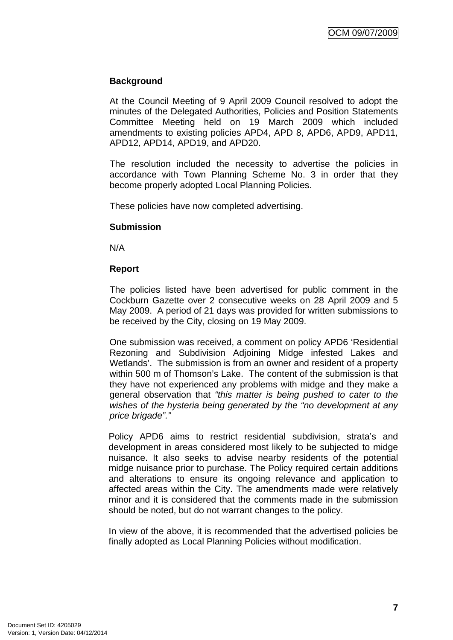# **Background**

At the Council Meeting of 9 April 2009 Council resolved to adopt the minutes of the Delegated Authorities, Policies and Position Statements Committee Meeting held on 19 March 2009 which included amendments to existing policies APD4, APD 8, APD6, APD9, APD11, APD12, APD14, APD19, and APD20.

The resolution included the necessity to advertise the policies in accordance with Town Planning Scheme No. 3 in order that they become properly adopted Local Planning Policies.

These policies have now completed advertising.

#### **Submission**

N/A

#### **Report**

The policies listed have been advertised for public comment in the Cockburn Gazette over 2 consecutive weeks on 28 April 2009 and 5 May 2009. A period of 21 days was provided for written submissions to be received by the City, closing on 19 May 2009.

One submission was received, a comment on policy APD6 'Residential Rezoning and Subdivision Adjoining Midge infested Lakes and Wetlands'. The submission is from an owner and resident of a property within 500 m of Thomson's Lake. The content of the submission is that they have not experienced any problems with midge and they make a general observation that *"this matter is being pushed to cater to the wishes of the hysteria being generated by the "no development at any price brigade"."* 

Policy APD6 aims to restrict residential subdivision, strata's and development in areas considered most likely to be subjected to midge nuisance. It also seeks to advise nearby residents of the potential midge nuisance prior to purchase. The Policy required certain additions and alterations to ensure its ongoing relevance and application to affected areas within the City. The amendments made were relatively minor and it is considered that the comments made in the submission should be noted, but do not warrant changes to the policy.

In view of the above, it is recommended that the advertised policies be finally adopted as Local Planning Policies without modification.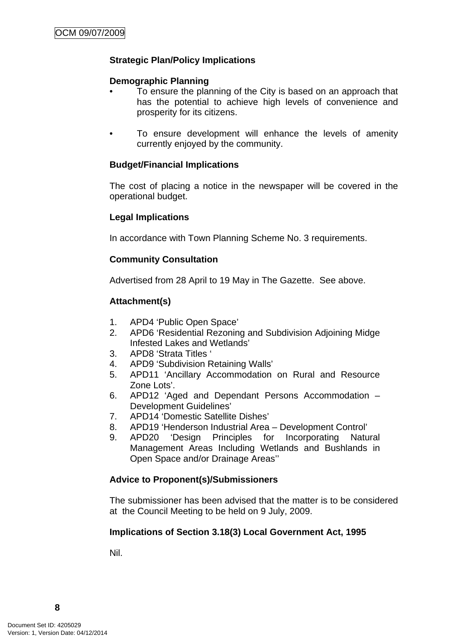# **Strategic Plan/Policy Implications**

#### **Demographic Planning**

- To ensure the planning of the City is based on an approach that has the potential to achieve high levels of convenience and prosperity for its citizens.
- To ensure development will enhance the levels of amenity currently enjoyed by the community.

#### **Budget/Financial Implications**

The cost of placing a notice in the newspaper will be covered in the operational budget.

#### **Legal Implications**

In accordance with Town Planning Scheme No. 3 requirements.

#### **Community Consultation**

Advertised from 28 April to 19 May in The Gazette. See above.

#### **Attachment(s)**

- 1. APD4 'Public Open Space'
- 2. APD6 'Residential Rezoning and Subdivision Adjoining Midge Infested Lakes and Wetlands'
- 3. APD8 'Strata Titles '
- 4. APD9 'Subdivision Retaining Walls'
- 5. APD11 'Ancillary Accommodation on Rural and Resource Zone Lots'.
- 6. APD12 'Aged and Dependant Persons Accommodation Development Guidelines'
- 7. APD14 'Domestic Satellite Dishes'
- 8. APD19 'Henderson Industrial Area Development Control'
- 9. APD20 'Design Principles for Incorporating Natural Management Areas Including Wetlands and Bushlands in Open Space and/or Drainage Areas''

#### **Advice to Proponent(s)/Submissioners**

The submissioner has been advised that the matter is to be considered at the Council Meeting to be held on 9 July, 2009.

#### **Implications of Section 3.18(3) Local Government Act, 1995**

Nil.

**8**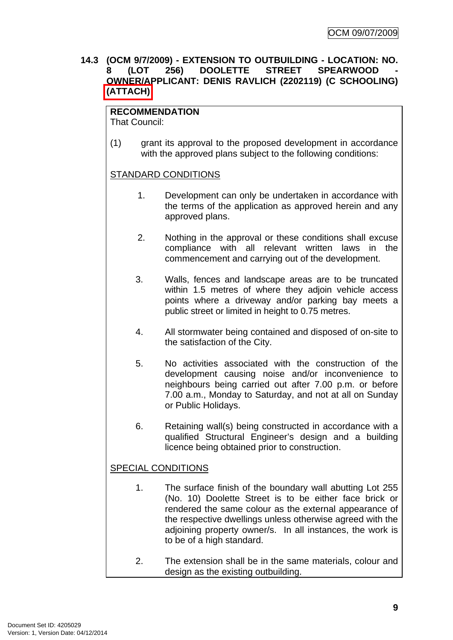<span id="page-12-0"></span>**14.3 (OCM 9/7/2009) - EXTENSION TO OUTBUILDING - LOCATION: NO.**  (LOT 256) DOOLETTE STREET SPEARWOOD **OWNER/APPLICANT: DENIS RAVLICH (2202119) (C SCHOOLING) (ATTACH)** 

## **RECOMMENDATION**

That Council:

(1) grant its approval to the proposed development in accordance with the approved plans subject to the following conditions:

#### STANDARD CONDITIONS

- 1. Development can only be undertaken in accordance with the terms of the application as approved herein and any approved plans.
- 2. Nothing in the approval or these conditions shall excuse compliance with all relevant written laws in the commencement and carrying out of the development.
- 3. Walls, fences and landscape areas are to be truncated within 1.5 metres of where they adjoin vehicle access points where a driveway and/or parking bay meets a public street or limited in height to 0.75 metres.
- 4. All stormwater being contained and disposed of on-site to the satisfaction of the City.
- 5. No activities associated with the construction of the development causing noise and/or inconvenience to neighbours being carried out after 7.00 p.m. or before 7.00 a.m., Monday to Saturday, and not at all on Sunday or Public Holidays.
- 6. Retaining wall(s) being constructed in accordance with a qualified Structural Engineer's design and a building licence being obtained prior to construction.

# SPECIAL CONDITIONS

- 1. The surface finish of the boundary wall abutting Lot 255 (No. 10) Doolette Street is to be either face brick or rendered the same colour as the external appearance of the respective dwellings unless otherwise agreed with the adjoining property owner/s. In all instances, the work is to be of a high standard.
- 2. The extension shall be in the same materials, colour and design as the existing outbuilding.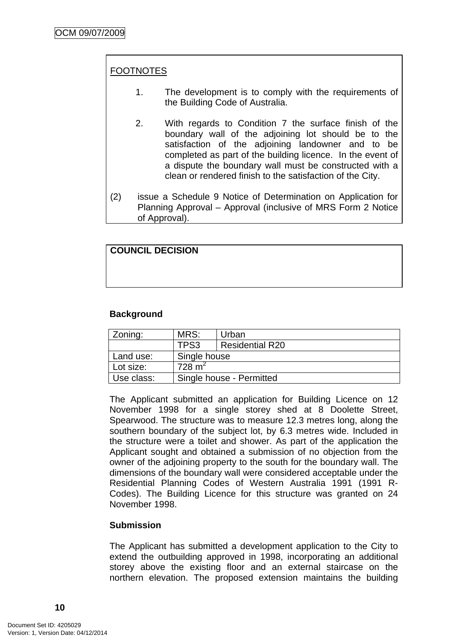# FOOTNOTES

- 1. The development is to comply with the requirements of the Building Code of Australia.
- 2. With regards to Condition 7 the surface finish of the boundary wall of the adjoining lot should be to the satisfaction of the adjoining landowner and to be completed as part of the building licence. In the event of a dispute the boundary wall must be constructed with a clean or rendered finish to the satisfaction of the City.
- (2) issue a Schedule 9 Notice of Determination on Application for Planning Approval – Approval (inclusive of MRS Form 2 Notice of Approval).

# **COUNCIL DECISION**

# **Background**

| Zoning:    | MRS:                     | Urban                  |  |
|------------|--------------------------|------------------------|--|
|            | TPS3                     | <b>Residential R20</b> |  |
| Land use:  | Single house             |                        |  |
| Lot size:  | 728 m <sup>2</sup>       |                        |  |
| Use class: | Single house - Permitted |                        |  |

The Applicant submitted an application for Building Licence on 12 November 1998 for a single storey shed at 8 Doolette Street, Spearwood. The structure was to measure 12.3 metres long, along the southern boundary of the subject lot, by 6.3 metres wide. Included in the structure were a toilet and shower. As part of the application the Applicant sought and obtained a submission of no objection from the owner of the adjoining property to the south for the boundary wall. The dimensions of the boundary wall were considered acceptable under the Residential Planning Codes of Western Australia 1991 (1991 R-Codes). The Building Licence for this structure was granted on 24 November 1998.

#### **Submission**

The Applicant has submitted a development application to the City to extend the outbuilding approved in 1998, incorporating an additional storey above the existing floor and an external staircase on the northern elevation. The proposed extension maintains the building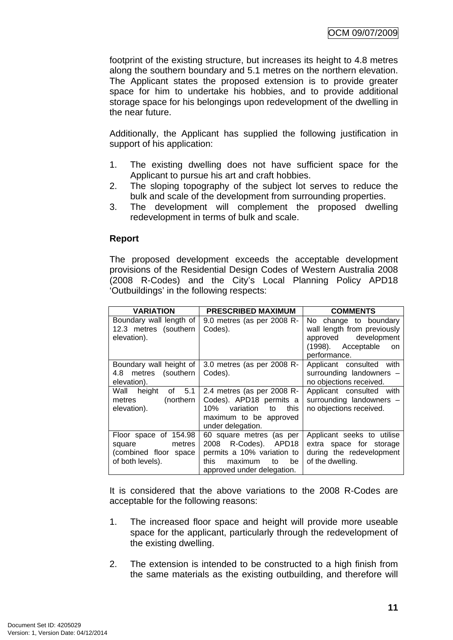footprint of the existing structure, but increases its height to 4.8 metres along the southern boundary and 5.1 metres on the northern elevation. The Applicant states the proposed extension is to provide greater space for him to undertake his hobbies, and to provide additional storage space for his belongings upon redevelopment of the dwelling in the near future.

Additionally, the Applicant has supplied the following justification in support of his application:

- 1. The existing dwelling does not have sufficient space for the Applicant to pursue his art and craft hobbies.
- 2. The sloping topography of the subject lot serves to reduce the bulk and scale of the development from surrounding properties.
- 3. The development will complement the proposed dwelling redevelopment in terms of bulk and scale.

# **Report**

The proposed development exceeds the acceptable development provisions of the Residential Design Codes of Western Australia 2008 (2008 R-Codes) and the City's Local Planning Policy APD18 'Outbuildings' in the following respects:

| <b>VARIATION</b>                                                                       | <b>PRESCRIBED MAXIMUM</b>                                                                                                                      | <b>COMMENTS</b>                                                                                                          |
|----------------------------------------------------------------------------------------|------------------------------------------------------------------------------------------------------------------------------------------------|--------------------------------------------------------------------------------------------------------------------------|
| Boundary wall length of<br>12.3 metres (southern<br>elevation).                        | 9.0 metres (as per 2008 R-<br>Codes).                                                                                                          | No change to boundary<br>wall length from previously<br>approved development<br>(1998). Acceptable<br>on<br>performance. |
| Boundary wall height of<br>(southern<br>4.8<br>metres<br>elevation).                   | 3.0 metres (as per 2008 R-<br>Codes).                                                                                                          | Applicant consulted with<br>surrounding landowners -<br>no objections received.                                          |
| Wall height<br>of $5.1$<br>(northern<br>metres<br>elevation).                          | 2.4 metres (as per 2008 R-<br>Codes). APD18 permits a<br>10% variation to<br>this<br>maximum to be approved<br>under delegation.               | Applicant consulted with<br>surrounding landowners -<br>no objections received.                                          |
| Floor space of 154.98<br>metres<br>square<br>(combined floor space<br>of both levels). | 60 square metres (as per<br>R-Codes). APD18<br>2008<br>permits a 10% variation to<br>this<br>maximum<br>to<br>be<br>approved under delegation. | Applicant seeks to utilise<br>extra space for storage<br>during the redevelopment<br>of the dwelling.                    |

It is considered that the above variations to the 2008 R-Codes are acceptable for the following reasons:

- 1. The increased floor space and height will provide more useable space for the applicant, particularly through the redevelopment of the existing dwelling.
- 2. The extension is intended to be constructed to a high finish from the same materials as the existing outbuilding, and therefore will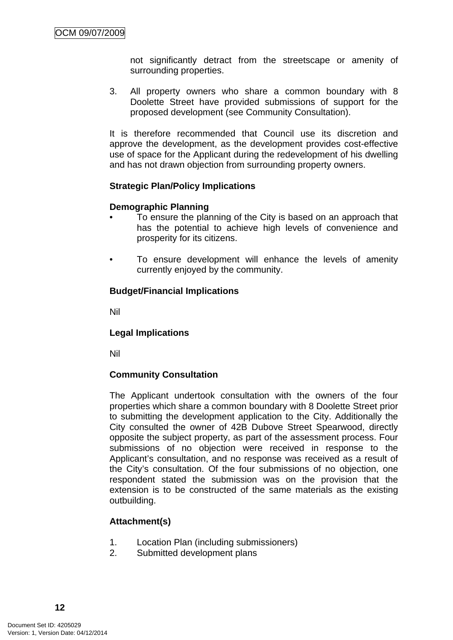not significantly detract from the streetscape or amenity of surrounding properties.

3. All property owners who share a common boundary with 8 Doolette Street have provided submissions of support for the proposed development (see Community Consultation).

It is therefore recommended that Council use its discretion and approve the development, as the development provides cost-effective use of space for the Applicant during the redevelopment of his dwelling and has not drawn objection from surrounding property owners.

#### **Strategic Plan/Policy Implications**

#### **Demographic Planning**

- To ensure the planning of the City is based on an approach that has the potential to achieve high levels of convenience and prosperity for its citizens.
- To ensure development will enhance the levels of amenity currently enjoyed by the community.

#### **Budget/Financial Implications**

Nil

#### **Legal Implications**

Nil

#### **Community Consultation**

The Applicant undertook consultation with the owners of the four properties which share a common boundary with 8 Doolette Street prior to submitting the development application to the City. Additionally the City consulted the owner of 42B Dubove Street Spearwood, directly opposite the subject property, as part of the assessment process. Four submissions of no objection were received in response to the Applicant's consultation, and no response was received as a result of the City's consultation. Of the four submissions of no objection, one respondent stated the submission was on the provision that the extension is to be constructed of the same materials as the existing outbuilding.

# **Attachment(s)**

- 1. Location Plan (including submissioners)
- 2. Submitted development plans

**12**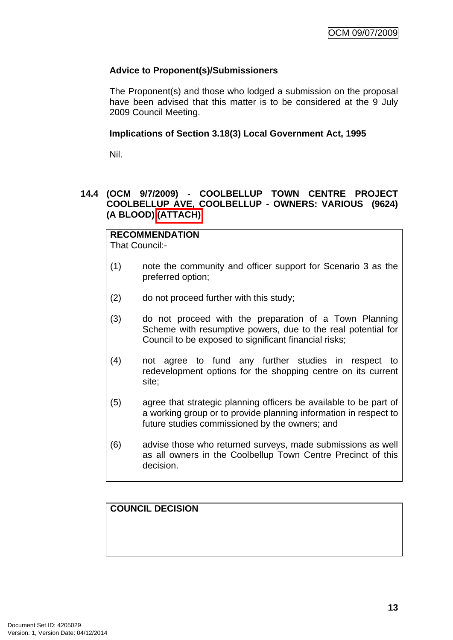# <span id="page-16-0"></span>**Advice to Proponent(s)/Submissioners**

The Proponent(s) and those who lodged a submission on the proposal have been advised that this matter is to be considered at the 9 July 2009 Council Meeting.

# **Implications of Section 3.18(3) Local Government Act, 1995**

Nil.

# **14.4 (OCM 9/7/2009) - COOLBELLUP TOWN CENTRE PROJECT COOLBELLUP AVE, COOLBELLUP - OWNERS: VARIOUS (9624) (A BLOOD) (ATTACH)**

# **RECOMMENDATION**

That Council:-

- (1) note the community and officer support for Scenario 3 as the preferred option;
- (2) do not proceed further with this study;
- (3) do not proceed with the preparation of a Town Planning Scheme with resumptive powers, due to the real potential for Council to be exposed to significant financial risks;
- (4) not agree to fund any further studies in respect to redevelopment options for the shopping centre on its current site;
- (5) agree that strategic planning officers be available to be part of a working group or to provide planning information in respect to future studies commissioned by the owners; and
- (6) advise those who returned surveys, made submissions as well as all owners in the Coolbellup Town Centre Precinct of this decision.

# **COUNCIL DECISION**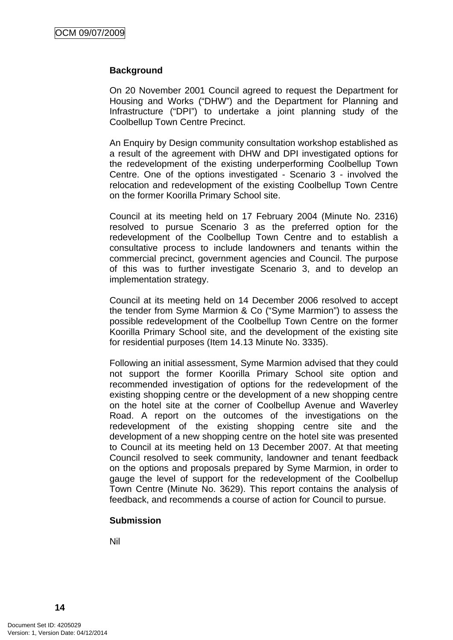#### **Background**

On 20 November 2001 Council agreed to request the Department for Housing and Works ("DHW") and the Department for Planning and Infrastructure ("DPI") to undertake a joint planning study of the Coolbellup Town Centre Precinct.

An Enquiry by Design community consultation workshop established as a result of the agreement with DHW and DPI investigated options for the redevelopment of the existing underperforming Coolbellup Town Centre. One of the options investigated - Scenario 3 - involved the relocation and redevelopment of the existing Coolbellup Town Centre on the former Koorilla Primary School site.

Council at its meeting held on 17 February 2004 (Minute No. 2316) resolved to pursue Scenario 3 as the preferred option for the redevelopment of the Coolbellup Town Centre and to establish a consultative process to include landowners and tenants within the commercial precinct, government agencies and Council. The purpose of this was to further investigate Scenario 3, and to develop an implementation strategy.

Council at its meeting held on 14 December 2006 resolved to accept the tender from Syme Marmion & Co ("Syme Marmion") to assess the possible redevelopment of the Coolbellup Town Centre on the former Koorilla Primary School site, and the development of the existing site for residential purposes (Item 14.13 Minute No. 3335).

Following an initial assessment, Syme Marmion advised that they could not support the former Koorilla Primary School site option and recommended investigation of options for the redevelopment of the existing shopping centre or the development of a new shopping centre on the hotel site at the corner of Coolbellup Avenue and Waverley Road. A report on the outcomes of the investigations on the redevelopment of the existing shopping centre site and the development of a new shopping centre on the hotel site was presented to Council at its meeting held on 13 December 2007. At that meeting Council resolved to seek community, landowner and tenant feedback on the options and proposals prepared by Syme Marmion, in order to gauge the level of support for the redevelopment of the Coolbellup Town Centre (Minute No. 3629). This report contains the analysis of feedback, and recommends a course of action for Council to pursue.

#### **Submission**

Nil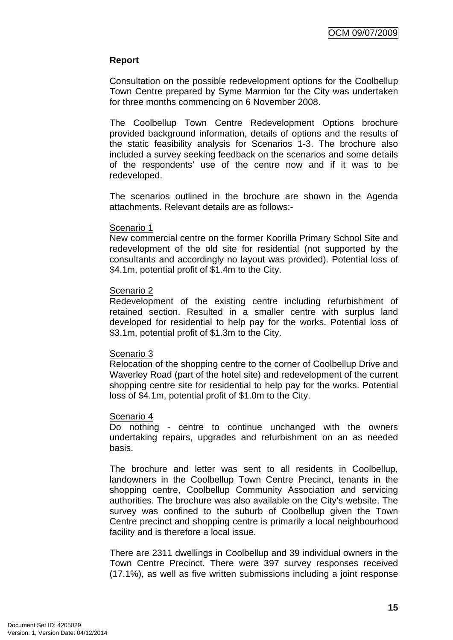#### **Report**

Consultation on the possible redevelopment options for the Coolbellup Town Centre prepared by Syme Marmion for the City was undertaken for three months commencing on 6 November 2008.

The Coolbellup Town Centre Redevelopment Options brochure provided background information, details of options and the results of the static feasibility analysis for Scenarios 1-3. The brochure also included a survey seeking feedback on the scenarios and some details of the respondents' use of the centre now and if it was to be redeveloped.

The scenarios outlined in the brochure are shown in the Agenda attachments. Relevant details are as follows:-

#### Scenario 1

New commercial centre on the former Koorilla Primary School Site and redevelopment of the old site for residential (not supported by the consultants and accordingly no layout was provided). Potential loss of \$4.1m, potential profit of \$1.4m to the City.

#### Scenario 2

Redevelopment of the existing centre including refurbishment of retained section. Resulted in a smaller centre with surplus land developed for residential to help pay for the works. Potential loss of \$3.1m, potential profit of \$1.3m to the City.

#### Scenario 3

Relocation of the shopping centre to the corner of Coolbellup Drive and Waverley Road (part of the hotel site) and redevelopment of the current shopping centre site for residential to help pay for the works. Potential loss of \$4.1m, potential profit of \$1.0m to the City.

#### Scenario 4

Do nothing - centre to continue unchanged with the owners undertaking repairs, upgrades and refurbishment on an as needed basis.

The brochure and letter was sent to all residents in Coolbellup, landowners in the Coolbellup Town Centre Precinct, tenants in the shopping centre, Coolbellup Community Association and servicing authorities. The brochure was also available on the City's website. The survey was confined to the suburb of Coolbellup given the Town Centre precinct and shopping centre is primarily a local neighbourhood facility and is therefore a local issue.

There are 2311 dwellings in Coolbellup and 39 individual owners in the Town Centre Precinct. There were 397 survey responses received (17.1%), as well as five written submissions including a joint response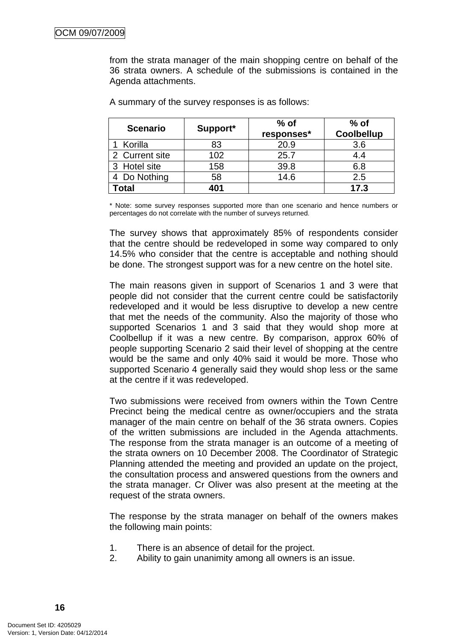from the strata manager of the main shopping centre on behalf of the 36 strata owners. A schedule of the submissions is contained in the Agenda attachments.

| <b>Scenario</b> | Support* | $%$ of<br>responses* | $%$ of<br><b>Coolbellup</b> |
|-----------------|----------|----------------------|-----------------------------|
| 1 Korilla       | 83       | 20.9                 | 3.6                         |
| 2 Current site  | 102      | 25.7                 | 4.4                         |
| 3 Hotel site    | 158      | 39.8                 | 6.8                         |
| 4 Do Nothing    | 58       | 14.6                 | 2.5                         |
| Total           | 401      |                      | 17.3                        |

A summary of the survey responses is as follows:

\* Note: some survey responses supported more than one scenario and hence numbers or percentages do not correlate with the number of surveys returned.

The survey shows that approximately 85% of respondents consider that the centre should be redeveloped in some way compared to only 14.5% who consider that the centre is acceptable and nothing should be done. The strongest support was for a new centre on the hotel site.

The main reasons given in support of Scenarios 1 and 3 were that people did not consider that the current centre could be satisfactorily redeveloped and it would be less disruptive to develop a new centre that met the needs of the community. Also the majority of those who supported Scenarios 1 and 3 said that they would shop more at Coolbellup if it was a new centre. By comparison, approx 60% of people supporting Scenario 2 said their level of shopping at the centre would be the same and only 40% said it would be more. Those who supported Scenario 4 generally said they would shop less or the same at the centre if it was redeveloped.

Two submissions were received from owners within the Town Centre Precinct being the medical centre as owner/occupiers and the strata manager of the main centre on behalf of the 36 strata owners. Copies of the written submissions are included in the Agenda attachments. The response from the strata manager is an outcome of a meeting of the strata owners on 10 December 2008. The Coordinator of Strategic Planning attended the meeting and provided an update on the project, the consultation process and answered questions from the owners and the strata manager. Cr Oliver was also present at the meeting at the request of the strata owners.

The response by the strata manager on behalf of the owners makes the following main points:

- 1. There is an absence of detail for the project.
- 2. Ability to gain unanimity among all owners is an issue.

**16**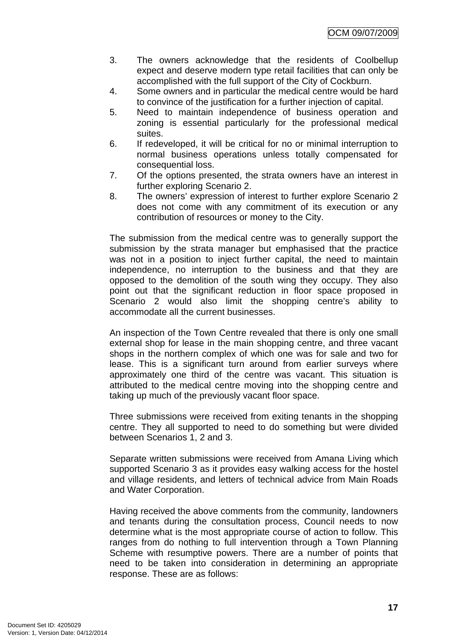- 3. The owners acknowledge that the residents of Coolbellup expect and deserve modern type retail facilities that can only be accomplished with the full support of the City of Cockburn.
- 4. Some owners and in particular the medical centre would be hard to convince of the justification for a further injection of capital.
- 5. Need to maintain independence of business operation and zoning is essential particularly for the professional medical suites.
- 6. If redeveloped, it will be critical for no or minimal interruption to normal business operations unless totally compensated for consequential loss.
- 7. Of the options presented, the strata owners have an interest in further exploring Scenario 2.
- 8. The owners' expression of interest to further explore Scenario 2 does not come with any commitment of its execution or any contribution of resources or money to the City.

The submission from the medical centre was to generally support the submission by the strata manager but emphasised that the practice was not in a position to inject further capital, the need to maintain independence, no interruption to the business and that they are opposed to the demolition of the south wing they occupy. They also point out that the significant reduction in floor space proposed in Scenario 2 would also limit the shopping centre's ability to accommodate all the current businesses.

An inspection of the Town Centre revealed that there is only one small external shop for lease in the main shopping centre, and three vacant shops in the northern complex of which one was for sale and two for lease. This is a significant turn around from earlier surveys where approximately one third of the centre was vacant. This situation is attributed to the medical centre moving into the shopping centre and taking up much of the previously vacant floor space.

Three submissions were received from exiting tenants in the shopping centre. They all supported to need to do something but were divided between Scenarios 1, 2 and 3.

Separate written submissions were received from Amana Living which supported Scenario 3 as it provides easy walking access for the hostel and village residents, and letters of technical advice from Main Roads and Water Corporation.

Having received the above comments from the community, landowners and tenants during the consultation process, Council needs to now determine what is the most appropriate course of action to follow. This ranges from do nothing to full intervention through a Town Planning Scheme with resumptive powers. There are a number of points that need to be taken into consideration in determining an appropriate response. These are as follows: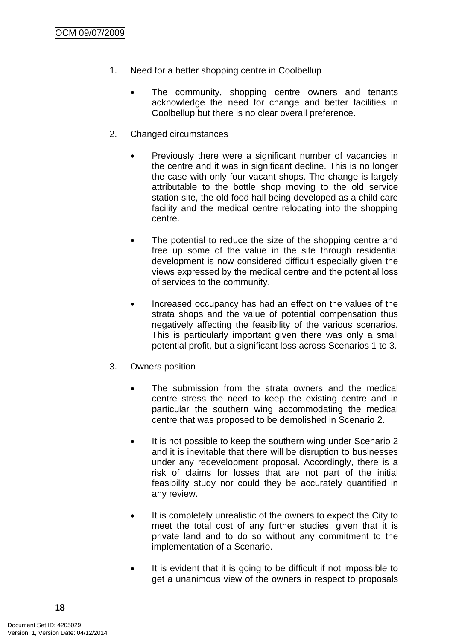- 1. Need for a better shopping centre in Coolbellup
	- The community, shopping centre owners and tenants acknowledge the need for change and better facilities in Coolbellup but there is no clear overall preference.
- 2. Changed circumstances
	- Previously there were a significant number of vacancies in the centre and it was in significant decline. This is no longer the case with only four vacant shops. The change is largely attributable to the bottle shop moving to the old service station site, the old food hall being developed as a child care facility and the medical centre relocating into the shopping centre.
	- The potential to reduce the size of the shopping centre and free up some of the value in the site through residential development is now considered difficult especially given the views expressed by the medical centre and the potential loss of services to the community.
	- Increased occupancy has had an effect on the values of the strata shops and the value of potential compensation thus negatively affecting the feasibility of the various scenarios. This is particularly important given there was only a small potential profit, but a significant loss across Scenarios 1 to 3.
- 3. Owners position
	- The submission from the strata owners and the medical centre stress the need to keep the existing centre and in particular the southern wing accommodating the medical centre that was proposed to be demolished in Scenario 2.
	- It is not possible to keep the southern wing under Scenario 2 and it is inevitable that there will be disruption to businesses under any redevelopment proposal. Accordingly, there is a risk of claims for losses that are not part of the initial feasibility study nor could they be accurately quantified in any review.
	- It is completely unrealistic of the owners to expect the City to meet the total cost of any further studies, given that it is private land and to do so without any commitment to the implementation of a Scenario.
	- It is evident that it is going to be difficult if not impossible to get a unanimous view of the owners in respect to proposals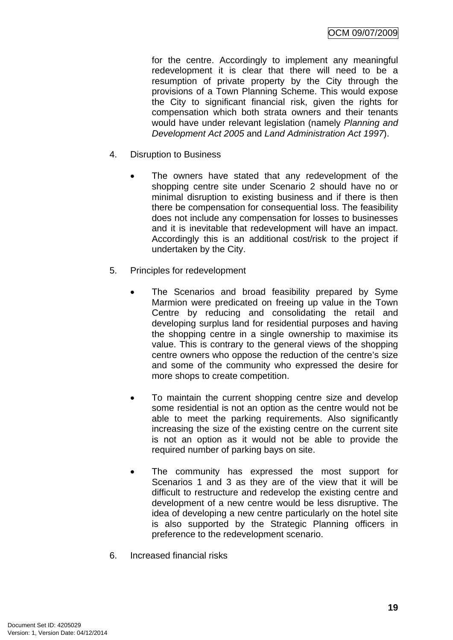for the centre. Accordingly to implement any meaningful redevelopment it is clear that there will need to be a resumption of private property by the City through the provisions of a Town Planning Scheme. This would expose the City to significant financial risk, given the rights for compensation which both strata owners and their tenants would have under relevant legislation (namely *Planning and Development Act 2005* and *Land Administration Act 1997*).

- 4. Disruption to Business
	- The owners have stated that any redevelopment of the shopping centre site under Scenario 2 should have no or minimal disruption to existing business and if there is then there be compensation for consequential loss. The feasibility does not include any compensation for losses to businesses and it is inevitable that redevelopment will have an impact. Accordingly this is an additional cost/risk to the project if undertaken by the City.
- 5. Principles for redevelopment
	- The Scenarios and broad feasibility prepared by Syme Marmion were predicated on freeing up value in the Town Centre by reducing and consolidating the retail and developing surplus land for residential purposes and having the shopping centre in a single ownership to maximise its value. This is contrary to the general views of the shopping centre owners who oppose the reduction of the centre's size and some of the community who expressed the desire for more shops to create competition.
	- To maintain the current shopping centre size and develop some residential is not an option as the centre would not be able to meet the parking requirements. Also significantly increasing the size of the existing centre on the current site is not an option as it would not be able to provide the required number of parking bays on site.
	- The community has expressed the most support for Scenarios 1 and 3 as they are of the view that it will be difficult to restructure and redevelop the existing centre and development of a new centre would be less disruptive. The idea of developing a new centre particularly on the hotel site is also supported by the Strategic Planning officers in preference to the redevelopment scenario.
- 6. Increased financial risks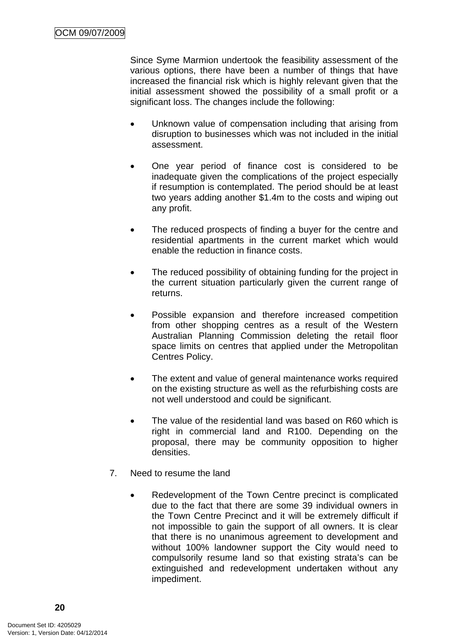Since Syme Marmion undertook the feasibility assessment of the various options, there have been a number of things that have increased the financial risk which is highly relevant given that the initial assessment showed the possibility of a small profit or a significant loss. The changes include the following:

- Unknown value of compensation including that arising from disruption to businesses which was not included in the initial assessment.
- One year period of finance cost is considered to be inadequate given the complications of the project especially if resumption is contemplated. The period should be at least two years adding another \$1.4m to the costs and wiping out any profit.
- The reduced prospects of finding a buyer for the centre and residential apartments in the current market which would enable the reduction in finance costs.
- The reduced possibility of obtaining funding for the project in the current situation particularly given the current range of returns.
- Possible expansion and therefore increased competition from other shopping centres as a result of the Western Australian Planning Commission deleting the retail floor space limits on centres that applied under the Metropolitan Centres Policy.
- The extent and value of general maintenance works required on the existing structure as well as the refurbishing costs are not well understood and could be significant.
- The value of the residential land was based on R60 which is right in commercial land and R100. Depending on the proposal, there may be community opposition to higher densities.
- 7. Need to resume the land
	- Redevelopment of the Town Centre precinct is complicated due to the fact that there are some 39 individual owners in the Town Centre Precinct and it will be extremely difficult if not impossible to gain the support of all owners. It is clear that there is no unanimous agreement to development and without 100% landowner support the City would need to compulsorily resume land so that existing strata's can be extinguished and redevelopment undertaken without any impediment.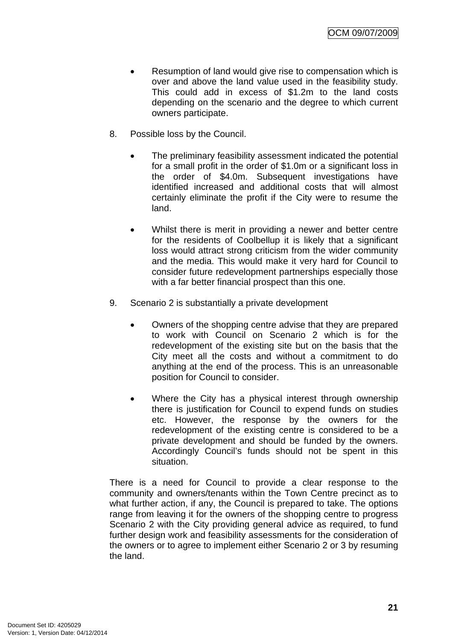- Resumption of land would give rise to compensation which is over and above the land value used in the feasibility study. This could add in excess of \$1.2m to the land costs depending on the scenario and the degree to which current owners participate.
- 8. Possible loss by the Council.
	- The preliminary feasibility assessment indicated the potential for a small profit in the order of \$1.0m or a significant loss in the order of \$4.0m. Subsequent investigations have identified increased and additional costs that will almost certainly eliminate the profit if the City were to resume the land.
	- Whilst there is merit in providing a newer and better centre for the residents of Coolbellup it is likely that a significant loss would attract strong criticism from the wider community and the media. This would make it very hard for Council to consider future redevelopment partnerships especially those with a far better financial prospect than this one.
- 9. Scenario 2 is substantially a private development
	- Owners of the shopping centre advise that they are prepared to work with Council on Scenario 2 which is for the redevelopment of the existing site but on the basis that the City meet all the costs and without a commitment to do anything at the end of the process. This is an unreasonable position for Council to consider.
	- Where the City has a physical interest through ownership there is justification for Council to expend funds on studies etc. However, the response by the owners for the redevelopment of the existing centre is considered to be a private development and should be funded by the owners. Accordingly Council's funds should not be spent in this situation.

There is a need for Council to provide a clear response to the community and owners/tenants within the Town Centre precinct as to what further action, if any, the Council is prepared to take. The options range from leaving it for the owners of the shopping centre to progress Scenario 2 with the City providing general advice as required, to fund further design work and feasibility assessments for the consideration of the owners or to agree to implement either Scenario 2 or 3 by resuming the land.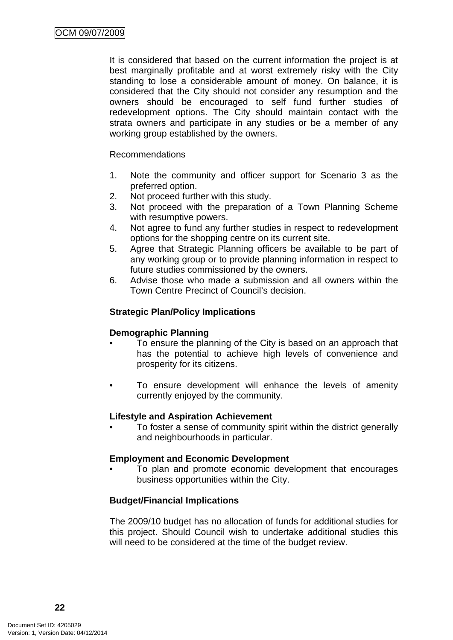It is considered that based on the current information the project is at best marginally profitable and at worst extremely risky with the City standing to lose a considerable amount of money. On balance, it is considered that the City should not consider any resumption and the owners should be encouraged to self fund further studies of redevelopment options. The City should maintain contact with the strata owners and participate in any studies or be a member of any working group established by the owners.

#### Recommendations

- 1. Note the community and officer support for Scenario 3 as the preferred option.
- 2. Not proceed further with this study.
- 3. Not proceed with the preparation of a Town Planning Scheme with resumptive powers.
- 4. Not agree to fund any further studies in respect to redevelopment options for the shopping centre on its current site.
- 5. Agree that Strategic Planning officers be available to be part of any working group or to provide planning information in respect to future studies commissioned by the owners.
- 6. Advise those who made a submission and all owners within the Town Centre Precinct of Council's decision.

# **Strategic Plan/Policy Implications**

#### **Demographic Planning**

- To ensure the planning of the City is based on an approach that has the potential to achieve high levels of convenience and prosperity for its citizens.
- To ensure development will enhance the levels of amenity currently enjoyed by the community.

#### **Lifestyle and Aspiration Achievement**

• To foster a sense of community spirit within the district generally and neighbourhoods in particular.

#### **Employment and Economic Development**

• To plan and promote economic development that encourages business opportunities within the City.

#### **Budget/Financial Implications**

The 2009/10 budget has no allocation of funds for additional studies for this project. Should Council wish to undertake additional studies this will need to be considered at the time of the budget review.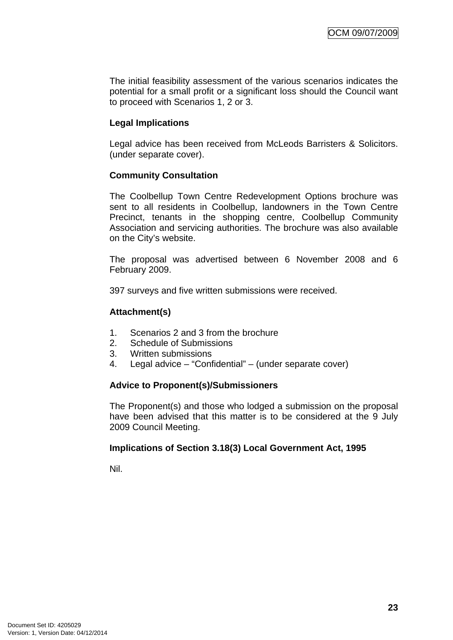The initial feasibility assessment of the various scenarios indicates the potential for a small profit or a significant loss should the Council want to proceed with Scenarios 1, 2 or 3.

## **Legal Implications**

Legal advice has been received from McLeods Barristers & Solicitors. (under separate cover).

#### **Community Consultation**

The Coolbellup Town Centre Redevelopment Options brochure was sent to all residents in Coolbellup, landowners in the Town Centre Precinct, tenants in the shopping centre, Coolbellup Community Association and servicing authorities. The brochure was also available on the City's website.

The proposal was advertised between 6 November 2008 and 6 February 2009.

397 surveys and five written submissions were received.

# **Attachment(s)**

- 1. Scenarios 2 and 3 from the brochure
- 2. Schedule of Submissions
- 3. Written submissions
- 4. Legal advice "Confidential" (under separate cover)

# **Advice to Proponent(s)/Submissioners**

The Proponent(s) and those who lodged a submission on the proposal have been advised that this matter is to be considered at the 9 July 2009 Council Meeting.

#### **Implications of Section 3.18(3) Local Government Act, 1995**

Nil.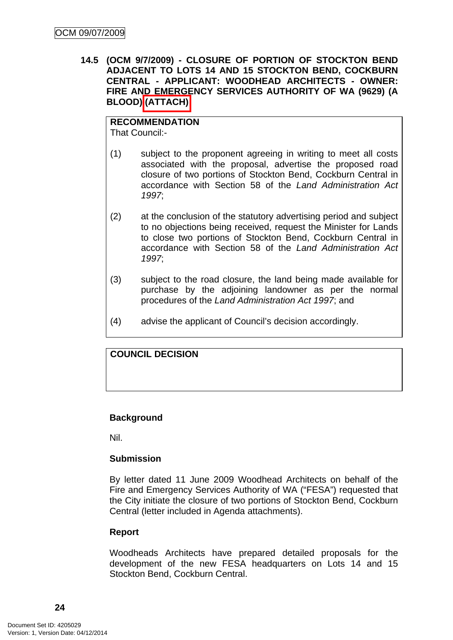<span id="page-27-0"></span>**14.5 (OCM 9/7/2009) - CLOSURE OF PORTION OF STOCKTON BEND ADJACENT TO LOTS 14 AND 15 STOCKTON BEND, COCKBURN CENTRAL - APPLICANT: WOODHEAD ARCHITECTS - OWNER: FIRE AND EMERGENCY SERVICES AUTHORITY OF WA (9629) (A BLOOD) (ATTACH)** 

**RECOMMENDATION** That Council:-

- (1) subject to the proponent agreeing in writing to meet all costs associated with the proposal, advertise the proposed road closure of two portions of Stockton Bend, Cockburn Central in accordance with Section 58 of the *Land Administration Act 1997*;
- (2) at the conclusion of the statutory advertising period and subject to no objections being received, request the Minister for Lands to close two portions of Stockton Bend, Cockburn Central in accordance with Section 58 of the *Land Administration Act 1997*;
- (3) subject to the road closure, the land being made available for purchase by the adjoining landowner as per the normal procedures of the *Land Administration Act 1997*; and
- (4) advise the applicant of Council's decision accordingly.

# **COUNCIL DECISION**

# **Background**

Nil.

# **Submission**

By letter dated 11 June 2009 Woodhead Architects on behalf of the Fire and Emergency Services Authority of WA ("FESA") requested that the City initiate the closure of two portions of Stockton Bend, Cockburn Central (letter included in Agenda attachments).

# **Report**

Woodheads Architects have prepared detailed proposals for the development of the new FESA headquarters on Lots 14 and 15 Stockton Bend, Cockburn Central.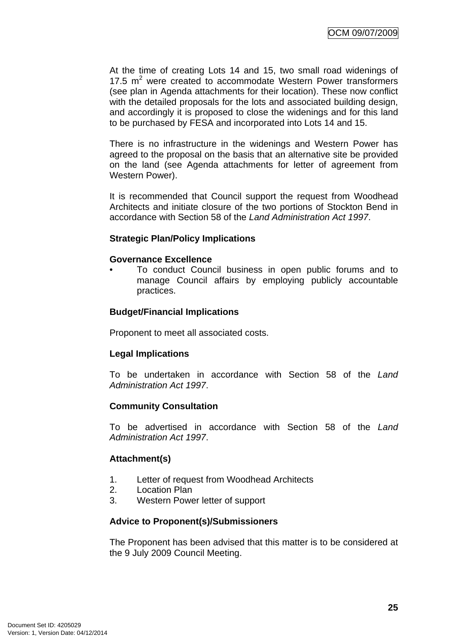At the time of creating Lots 14 and 15, two small road widenings of 17.5  $m<sup>2</sup>$  were created to accommodate Western Power transformers (see plan in Agenda attachments for their location). These now conflict with the detailed proposals for the lots and associated building design, and accordingly it is proposed to close the widenings and for this land to be purchased by FESA and incorporated into Lots 14 and 15.

There is no infrastructure in the widenings and Western Power has agreed to the proposal on the basis that an alternative site be provided on the land (see Agenda attachments for letter of agreement from Western Power).

It is recommended that Council support the request from Woodhead Architects and initiate closure of the two portions of Stockton Bend in accordance with Section 58 of the *Land Administration Act 1997*.

#### **Strategic Plan/Policy Implications**

#### **Governance Excellence**

• To conduct Council business in open public forums and to manage Council affairs by employing publicly accountable practices.

#### **Budget/Financial Implications**

Proponent to meet all associated costs.

#### **Legal Implications**

To be undertaken in accordance with Section 58 of the *Land Administration Act 1997*.

#### **Community Consultation**

To be advertised in accordance with Section 58 of the *Land Administration Act 1997*.

#### **Attachment(s)**

- 1. Letter of request from Woodhead Architects
- 2. Location Plan
- 3. Western Power letter of support

#### **Advice to Proponent(s)/Submissioners**

The Proponent has been advised that this matter is to be considered at the 9 July 2009 Council Meeting.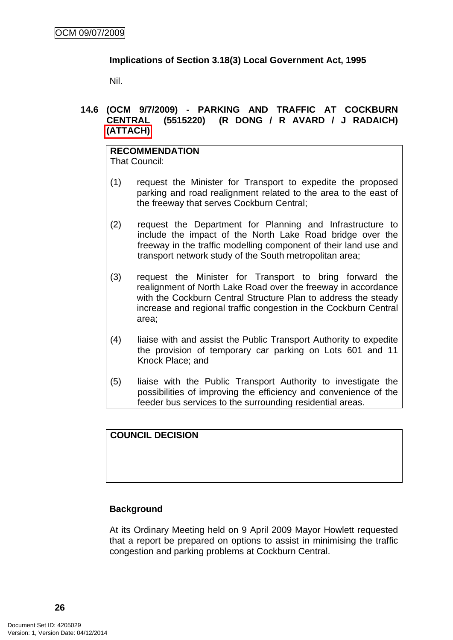## <span id="page-29-0"></span>**Implications of Section 3.18(3) Local Government Act, 1995**

Nil.

# **14.6 (OCM 9/7/2009) - PARKING AND TRAFFIC AT COCKBURN CENTRAL (5515220) (R DONG / R AVARD / J RADAICH) (ATTACH)**

# **RECOMMENDATION**

That Council:

- (1) request the Minister for Transport to expedite the proposed parking and road realignment related to the area to the east of the freeway that serves Cockburn Central;
- (2) request the Department for Planning and Infrastructure to include the impact of the North Lake Road bridge over the freeway in the traffic modelling component of their land use and transport network study of the South metropolitan area;
- (3) request the Minister for Transport to bring forward the realignment of North Lake Road over the freeway in accordance with the Cockburn Central Structure Plan to address the steady increase and regional traffic congestion in the Cockburn Central area;
- (4) liaise with and assist the Public Transport Authority to expedite the provision of temporary car parking on Lots 601 and 11 Knock Place; and
- (5) liaise with the Public Transport Authority to investigate the possibilities of improving the efficiency and convenience of the feeder bus services to the surrounding residential areas.

# **COUNCIL DECISION**

#### **Background**

At its Ordinary Meeting held on 9 April 2009 Mayor Howlett requested that a report be prepared on options to assist in minimising the traffic congestion and parking problems at Cockburn Central.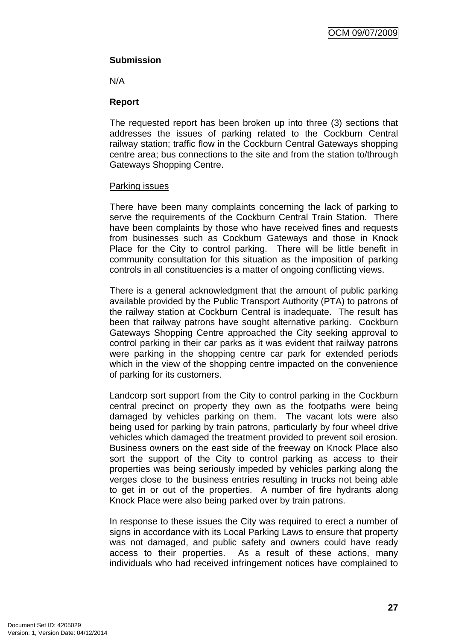OCM 09/07/2009

# **Submission**

N/A

#### **Report**

The requested report has been broken up into three (3) sections that addresses the issues of parking related to the Cockburn Central railway station; traffic flow in the Cockburn Central Gateways shopping centre area; bus connections to the site and from the station to/through Gateways Shopping Centre.

#### Parking issues

There have been many complaints concerning the lack of parking to serve the requirements of the Cockburn Central Train Station. There have been complaints by those who have received fines and requests from businesses such as Cockburn Gateways and those in Knock Place for the City to control parking. There will be little benefit in community consultation for this situation as the imposition of parking controls in all constituencies is a matter of ongoing conflicting views.

There is a general acknowledgment that the amount of public parking available provided by the Public Transport Authority (PTA) to patrons of the railway station at Cockburn Central is inadequate. The result has been that railway patrons have sought alternative parking. Cockburn Gateways Shopping Centre approached the City seeking approval to control parking in their car parks as it was evident that railway patrons were parking in the shopping centre car park for extended periods which in the view of the shopping centre impacted on the convenience of parking for its customers.

Landcorp sort support from the City to control parking in the Cockburn central precinct on property they own as the footpaths were being damaged by vehicles parking on them. The vacant lots were also being used for parking by train patrons, particularly by four wheel drive vehicles which damaged the treatment provided to prevent soil erosion. Business owners on the east side of the freeway on Knock Place also sort the support of the City to control parking as access to their properties was being seriously impeded by vehicles parking along the verges close to the business entries resulting in trucks not being able to get in or out of the properties. A number of fire hydrants along Knock Place were also being parked over by train patrons.

In response to these issues the City was required to erect a number of signs in accordance with its Local Parking Laws to ensure that property was not damaged, and public safety and owners could have ready access to their properties. As a result of these actions, many individuals who had received infringement notices have complained to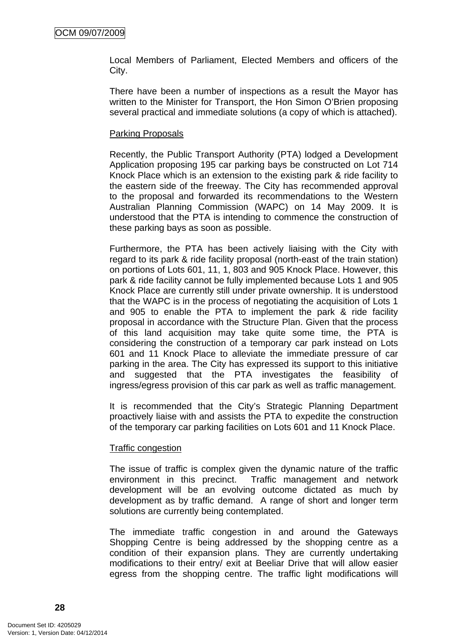Local Members of Parliament, Elected Members and officers of the City.

There have been a number of inspections as a result the Mayor has written to the Minister for Transport, the Hon Simon O'Brien proposing several practical and immediate solutions (a copy of which is attached).

#### Parking Proposals

Recently, the Public Transport Authority (PTA) lodged a Development Application proposing 195 car parking bays be constructed on Lot 714 Knock Place which is an extension to the existing park & ride facility to the eastern side of the freeway. The City has recommended approval to the proposal and forwarded its recommendations to the Western Australian Planning Commission (WAPC) on 14 May 2009. It is understood that the PTA is intending to commence the construction of these parking bays as soon as possible.

Furthermore, the PTA has been actively liaising with the City with regard to its park & ride facility proposal (north-east of the train station) on portions of Lots 601, 11, 1, 803 and 905 Knock Place. However, this park & ride facility cannot be fully implemented because Lots 1 and 905 Knock Place are currently still under private ownership. It is understood that the WAPC is in the process of negotiating the acquisition of Lots 1 and 905 to enable the PTA to implement the park & ride facility proposal in accordance with the Structure Plan. Given that the process of this land acquisition may take quite some time, the PTA is considering the construction of a temporary car park instead on Lots 601 and 11 Knock Place to alleviate the immediate pressure of car parking in the area. The City has expressed its support to this initiative and suggested that the PTA investigates the feasibility of ingress/egress provision of this car park as well as traffic management.

It is recommended that the City's Strategic Planning Department proactively liaise with and assists the PTA to expedite the construction of the temporary car parking facilities on Lots 601 and 11 Knock Place.

#### Traffic congestion

The issue of traffic is complex given the dynamic nature of the traffic environment in this precinct. Traffic management and network development will be an evolving outcome dictated as much by development as by traffic demand. A range of short and longer term solutions are currently being contemplated.

The immediate traffic congestion in and around the Gateways Shopping Centre is being addressed by the shopping centre as a condition of their expansion plans. They are currently undertaking modifications to their entry/ exit at Beeliar Drive that will allow easier egress from the shopping centre. The traffic light modifications will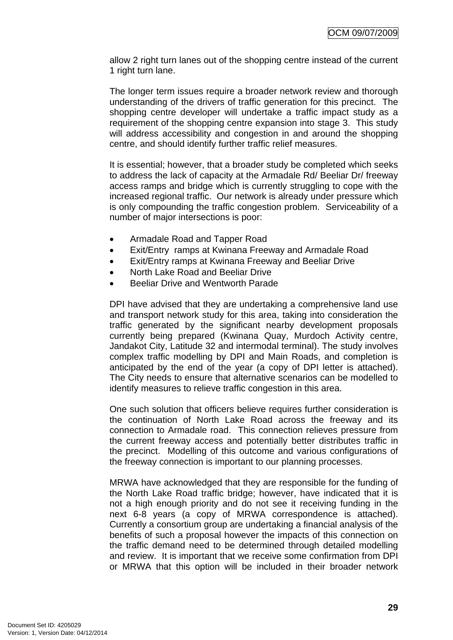allow 2 right turn lanes out of the shopping centre instead of the current 1 right turn lane.

The longer term issues require a broader network review and thorough understanding of the drivers of traffic generation for this precinct. The shopping centre developer will undertake a traffic impact study as a requirement of the shopping centre expansion into stage 3. This study will address accessibility and congestion in and around the shopping centre, and should identify further traffic relief measures.

It is essential; however, that a broader study be completed which seeks to address the lack of capacity at the Armadale Rd/ Beeliar Dr/ freeway access ramps and bridge which is currently struggling to cope with the increased regional traffic. Our network is already under pressure which is only compounding the traffic congestion problem. Serviceability of a number of major intersections is poor:

- Armadale Road and Tapper Road
- Exit/Entry ramps at Kwinana Freeway and Armadale Road
- Exit/Entry ramps at Kwinana Freeway and Beeliar Drive
- North Lake Road and Beeliar Drive
- Beeliar Drive and Wentworth Parade

DPI have advised that they are undertaking a comprehensive land use and transport network study for this area, taking into consideration the traffic generated by the significant nearby development proposals currently being prepared (Kwinana Quay, Murdoch Activity centre, Jandakot City, Latitude 32 and intermodal terminal). The study involves complex traffic modelling by DPI and Main Roads, and completion is anticipated by the end of the year (a copy of DPI letter is attached). The City needs to ensure that alternative scenarios can be modelled to identify measures to relieve traffic congestion in this area.

One such solution that officers believe requires further consideration is the continuation of North Lake Road across the freeway and its connection to Armadale road. This connection relieves pressure from the current freeway access and potentially better distributes traffic in the precinct. Modelling of this outcome and various configurations of the freeway connection is important to our planning processes.

MRWA have acknowledged that they are responsible for the funding of the North Lake Road traffic bridge; however, have indicated that it is not a high enough priority and do not see it receiving funding in the next 6-8 years (a copy of MRWA correspondence is attached). Currently a consortium group are undertaking a financial analysis of the benefits of such a proposal however the impacts of this connection on the traffic demand need to be determined through detailed modelling and review. It is important that we receive some confirmation from DPI or MRWA that this option will be included in their broader network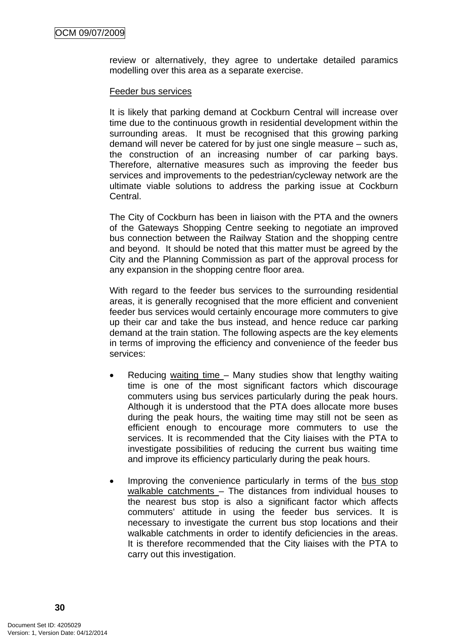review or alternatively, they agree to undertake detailed paramics modelling over this area as a separate exercise.

#### Feeder bus services

It is likely that parking demand at Cockburn Central will increase over time due to the continuous growth in residential development within the surrounding areas. It must be recognised that this growing parking demand will never be catered for by just one single measure – such as, the construction of an increasing number of car parking bays. Therefore, alternative measures such as improving the feeder bus services and improvements to the pedestrian/cycleway network are the ultimate viable solutions to address the parking issue at Cockburn Central.

The City of Cockburn has been in liaison with the PTA and the owners of the Gateways Shopping Centre seeking to negotiate an improved bus connection between the Railway Station and the shopping centre and beyond. It should be noted that this matter must be agreed by the City and the Planning Commission as part of the approval process for any expansion in the shopping centre floor area.

With regard to the feeder bus services to the surrounding residential areas, it is generally recognised that the more efficient and convenient feeder bus services would certainly encourage more commuters to give up their car and take the bus instead, and hence reduce car parking demand at the train station. The following aspects are the key elements in terms of improving the efficiency and convenience of the feeder bus services:

- Reducing waiting time  $-$  Many studies show that lengthy waiting time is one of the most significant factors which discourage commuters using bus services particularly during the peak hours. Although it is understood that the PTA does allocate more buses during the peak hours, the waiting time may still not be seen as efficient enough to encourage more commuters to use the services. It is recommended that the City liaises with the PTA to investigate possibilities of reducing the current bus waiting time and improve its efficiency particularly during the peak hours.
- Improving the convenience particularly in terms of the bus stop walkable catchments - The distances from individual houses to the nearest bus stop is also a significant factor which affects commuters' attitude in using the feeder bus services. It is necessary to investigate the current bus stop locations and their walkable catchments in order to identify deficiencies in the areas. It is therefore recommended that the City liaises with the PTA to carry out this investigation.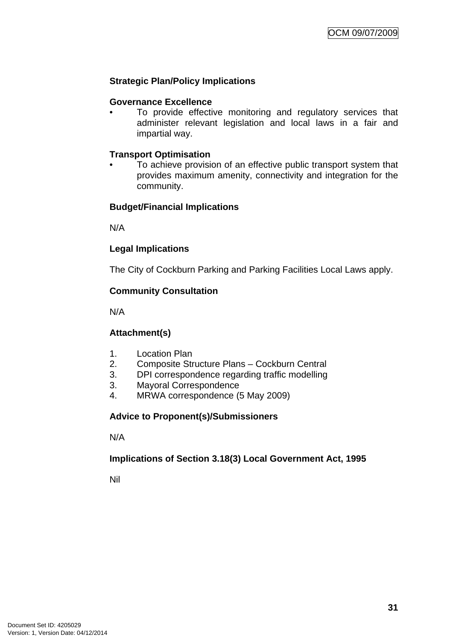# **Strategic Plan/Policy Implications**

#### **Governance Excellence**

To provide effective monitoring and regulatory services that administer relevant legislation and local laws in a fair and impartial way.

#### **Transport Optimisation**

• To achieve provision of an effective public transport system that provides maximum amenity, connectivity and integration for the community.

#### **Budget/Financial Implications**

N/A

#### **Legal Implications**

The City of Cockburn Parking and Parking Facilities Local Laws apply.

#### **Community Consultation**

N/A

# **Attachment(s)**

- 1. Location Plan
- 2. Composite Structure Plans Cockburn Central
- 3. DPI correspondence regarding traffic modelling
- 3. Mayoral Correspondence
- 4. MRWA correspondence (5 May 2009)

#### **Advice to Proponent(s)/Submissioners**

N/A

#### **Implications of Section 3.18(3) Local Government Act, 1995**

Nil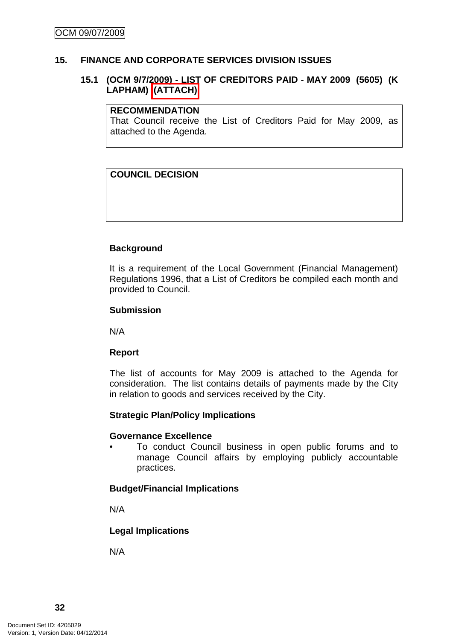#### <span id="page-35-0"></span>**15. FINANCE AND CORPORATE SERVICES DIVISION ISSUES**

#### **15.1 (OCM 9/7/2009) - LIST OF CREDITORS PAID - MAY 2009 (5605) (K LAPHAM) (ATTACH)**

#### **RECOMMENDATION**

That Council receive the List of Creditors Paid for May 2009, as attached to the Agenda.

# **COUNCIL DECISION**

#### **Background**

It is a requirement of the Local Government (Financial Management) Regulations 1996, that a List of Creditors be compiled each month and provided to Council.

#### **Submission**

N/A

#### **Report**

The list of accounts for May 2009 is attached to the Agenda for consideration. The list contains details of payments made by the City in relation to goods and services received by the City.

#### **Strategic Plan/Policy Implications**

#### **Governance Excellence**

• To conduct Council business in open public forums and to manage Council affairs by employing publicly accountable practices.

#### **Budget/Financial Implications**

N/A

#### **Legal Implications**

N/A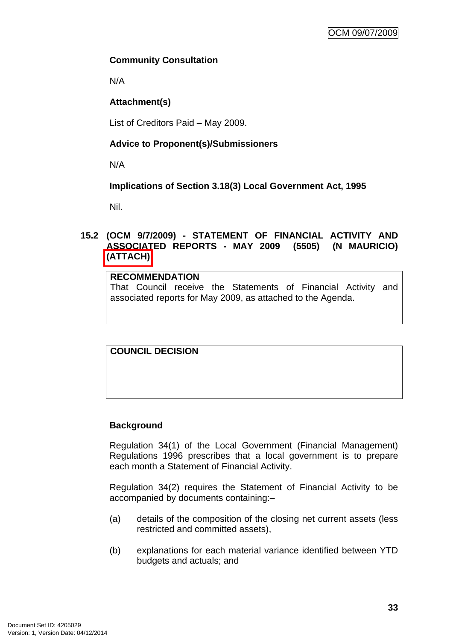# <span id="page-36-0"></span>**Community Consultation**

N/A

# **Attachment(s)**

List of Creditors Paid – May 2009.

# **Advice to Proponent(s)/Submissioners**

N/A

# **Implications of Section 3.18(3) Local Government Act, 1995**

Nil.

# **15.2 (OCM 9/7/2009) - STATEMENT OF FINANCIAL ACTIVITY AND ASSOCIATED REPORTS - MAY 2009 (5505) (N MAURICIO) (ATTACH)**

# **RECOMMENDATION**

That Council receive the Statements of Financial Activity and associated reports for May 2009, as attached to the Agenda.

# **COUNCIL DECISION**

# **Background**

Regulation 34(1) of the Local Government (Financial Management) Regulations 1996 prescribes that a local government is to prepare each month a Statement of Financial Activity.

Regulation 34(2) requires the Statement of Financial Activity to be accompanied by documents containing:–

- (a) details of the composition of the closing net current assets (less restricted and committed assets),
- (b) explanations for each material variance identified between YTD budgets and actuals; and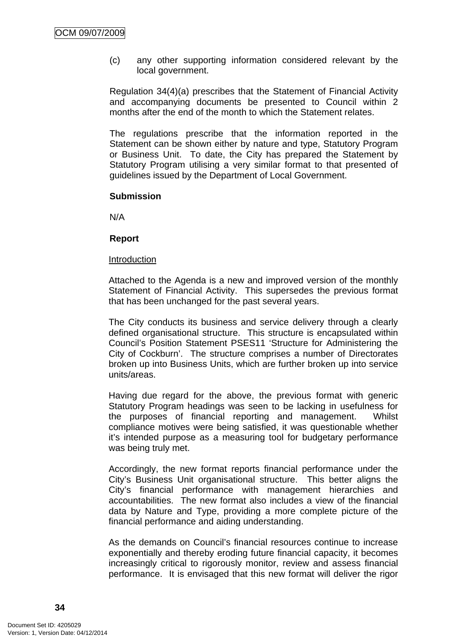(c) any other supporting information considered relevant by the local government.

Regulation 34(4)(a) prescribes that the Statement of Financial Activity and accompanying documents be presented to Council within 2 months after the end of the month to which the Statement relates.

The regulations prescribe that the information reported in the Statement can be shown either by nature and type, Statutory Program or Business Unit. To date, the City has prepared the Statement by Statutory Program utilising a very similar format to that presented of guidelines issued by the Department of Local Government.

#### **Submission**

N/A

#### **Report**

#### Introduction

Attached to the Agenda is a new and improved version of the monthly Statement of Financial Activity. This supersedes the previous format that has been unchanged for the past several years.

The City conducts its business and service delivery through a clearly defined organisational structure. This structure is encapsulated within Council's Position Statement PSES11 'Structure for Administering the City of Cockburn'. The structure comprises a number of Directorates broken up into Business Units, which are further broken up into service units/areas.

Having due regard for the above, the previous format with generic Statutory Program headings was seen to be lacking in usefulness for the purposes of financial reporting and management. Whilst compliance motives were being satisfied, it was questionable whether it's intended purpose as a measuring tool for budgetary performance was being truly met.

Accordingly, the new format reports financial performance under the City's Business Unit organisational structure. This better aligns the City's financial performance with management hierarchies and accountabilities. The new format also includes a view of the financial data by Nature and Type, providing a more complete picture of the financial performance and aiding understanding.

As the demands on Council's financial resources continue to increase exponentially and thereby eroding future financial capacity, it becomes increasingly critical to rigorously monitor, review and assess financial performance. It is envisaged that this new format will deliver the rigor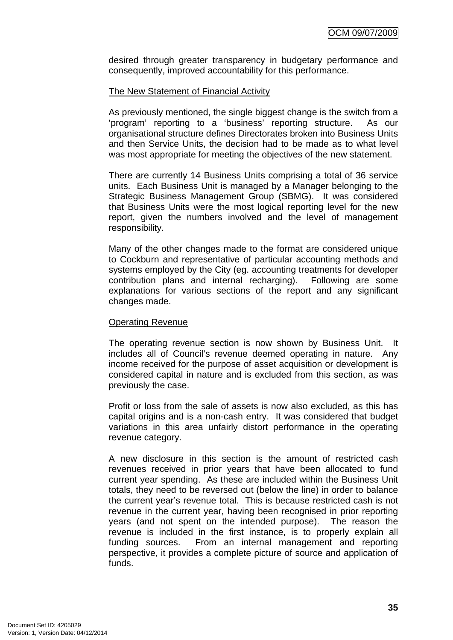desired through greater transparency in budgetary performance and consequently, improved accountability for this performance.

#### The New Statement of Financial Activity

As previously mentioned, the single biggest change is the switch from a 'program' reporting to a 'business' reporting structure. As our organisational structure defines Directorates broken into Business Units and then Service Units, the decision had to be made as to what level was most appropriate for meeting the objectives of the new statement.

There are currently 14 Business Units comprising a total of 36 service units. Each Business Unit is managed by a Manager belonging to the Strategic Business Management Group (SBMG). It was considered that Business Units were the most logical reporting level for the new report, given the numbers involved and the level of management responsibility.

Many of the other changes made to the format are considered unique to Cockburn and representative of particular accounting methods and systems employed by the City (eg. accounting treatments for developer contribution plans and internal recharging). Following are some explanations for various sections of the report and any significant changes made.

#### Operating Revenue

The operating revenue section is now shown by Business Unit. It includes all of Council's revenue deemed operating in nature. Any income received for the purpose of asset acquisition or development is considered capital in nature and is excluded from this section, as was previously the case.

Profit or loss from the sale of assets is now also excluded, as this has capital origins and is a non-cash entry. It was considered that budget variations in this area unfairly distort performance in the operating revenue category.

A new disclosure in this section is the amount of restricted cash revenues received in prior years that have been allocated to fund current year spending. As these are included within the Business Unit totals, they need to be reversed out (below the line) in order to balance the current year's revenue total. This is because restricted cash is not revenue in the current year, having been recognised in prior reporting years (and not spent on the intended purpose). The reason the revenue is included in the first instance, is to properly explain all funding sources. From an internal management and reporting perspective, it provides a complete picture of source and application of funds.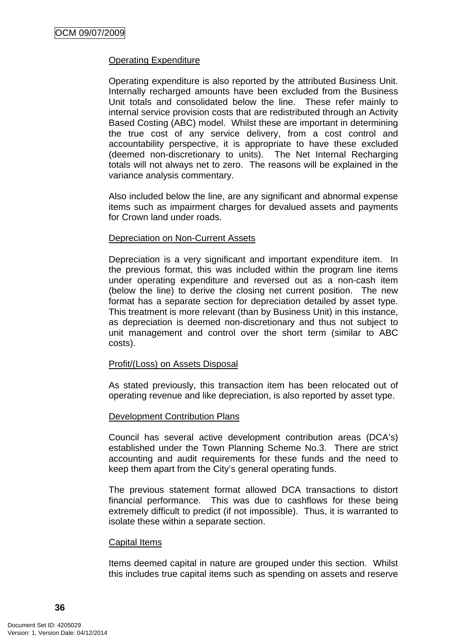#### Operating Expenditure

Operating expenditure is also reported by the attributed Business Unit. Internally recharged amounts have been excluded from the Business Unit totals and consolidated below the line. These refer mainly to internal service provision costs that are redistributed through an Activity Based Costing (ABC) model. Whilst these are important in determining the true cost of any service delivery, from a cost control and accountability perspective, it is appropriate to have these excluded (deemed non-discretionary to units). The Net Internal Recharging totals will not always net to zero. The reasons will be explained in the variance analysis commentary.

Also included below the line, are any significant and abnormal expense items such as impairment charges for devalued assets and payments for Crown land under roads.

#### Depreciation on Non-Current Assets

Depreciation is a very significant and important expenditure item. In the previous format, this was included within the program line items under operating expenditure and reversed out as a non-cash item (below the line) to derive the closing net current position. The new format has a separate section for depreciation detailed by asset type. This treatment is more relevant (than by Business Unit) in this instance, as depreciation is deemed non-discretionary and thus not subject to unit management and control over the short term (similar to ABC costs).

#### Profit/(Loss) on Assets Disposal

As stated previously, this transaction item has been relocated out of operating revenue and like depreciation, is also reported by asset type.

#### Development Contribution Plans

Council has several active development contribution areas (DCA's) established under the Town Planning Scheme No.3. There are strict accounting and audit requirements for these funds and the need to keep them apart from the City's general operating funds.

The previous statement format allowed DCA transactions to distort financial performance. This was due to cashflows for these being extremely difficult to predict (if not impossible). Thus, it is warranted to isolate these within a separate section.

#### Capital Items

Items deemed capital in nature are grouped under this section. Whilst this includes true capital items such as spending on assets and reserve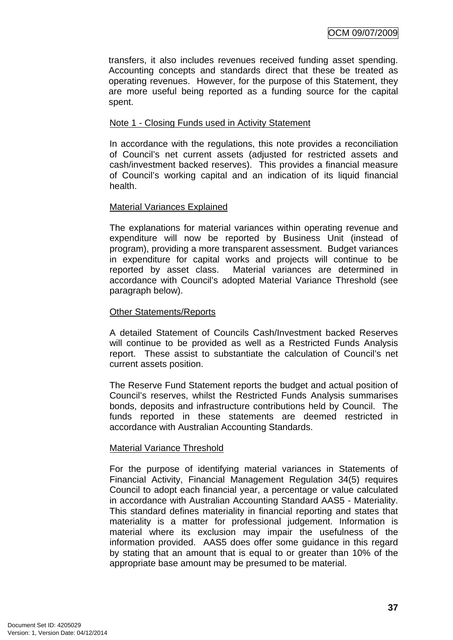transfers, it also includes revenues received funding asset spending. Accounting concepts and standards direct that these be treated as operating revenues. However, for the purpose of this Statement, they are more useful being reported as a funding source for the capital spent.

#### Note 1 - Closing Funds used in Activity Statement

In accordance with the regulations, this note provides a reconciliation of Council's net current assets (adjusted for restricted assets and cash/investment backed reserves). This provides a financial measure of Council's working capital and an indication of its liquid financial health.

#### Material Variances Explained

The explanations for material variances within operating revenue and expenditure will now be reported by Business Unit (instead of program), providing a more transparent assessment. Budget variances in expenditure for capital works and projects will continue to be reported by asset class. Material variances are determined in accordance with Council's adopted Material Variance Threshold (see paragraph below).

#### Other Statements/Reports

A detailed Statement of Councils Cash/Investment backed Reserves will continue to be provided as well as a Restricted Funds Analysis report. These assist to substantiate the calculation of Council's net current assets position.

The Reserve Fund Statement reports the budget and actual position of Council's reserves, whilst the Restricted Funds Analysis summarises bonds, deposits and infrastructure contributions held by Council. The funds reported in these statements are deemed restricted in accordance with Australian Accounting Standards.

#### Material Variance Threshold

For the purpose of identifying material variances in Statements of Financial Activity, Financial Management Regulation 34(5) requires Council to adopt each financial year, a percentage or value calculated in accordance with Australian Accounting Standard AAS5 - Materiality. This standard defines materiality in financial reporting and states that materiality is a matter for professional judgement. Information is material where its exclusion may impair the usefulness of the information provided. AAS5 does offer some guidance in this regard by stating that an amount that is equal to or greater than 10% of the appropriate base amount may be presumed to be material.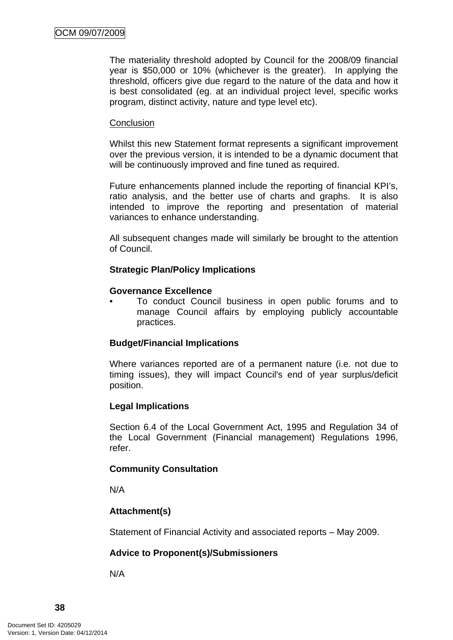The materiality threshold adopted by Council for the 2008/09 financial year is \$50,000 or 10% (whichever is the greater). In applying the threshold, officers give due regard to the nature of the data and how it is best consolidated (eg. at an individual project level, specific works program, distinct activity, nature and type level etc).

#### **Conclusion**

Whilst this new Statement format represents a significant improvement over the previous version, it is intended to be a dynamic document that will be continuously improved and fine tuned as required.

Future enhancements planned include the reporting of financial KPI's, ratio analysis, and the better use of charts and graphs. It is also intended to improve the reporting and presentation of material variances to enhance understanding.

All subsequent changes made will similarly be brought to the attention of Council.

#### **Strategic Plan/Policy Implications**

#### **Governance Excellence**

• To conduct Council business in open public forums and to manage Council affairs by employing publicly accountable practices.

#### **Budget/Financial Implications**

Where variances reported are of a permanent nature (i.e. not due to timing issues), they will impact Council's end of year surplus/deficit position.

#### **Legal Implications**

Section 6.4 of the Local Government Act, 1995 and Regulation 34 of the Local Government (Financial management) Regulations 1996, refer.

#### **Community Consultation**

N/A

# **Attachment(s)**

Statement of Financial Activity and associated reports – May 2009.

#### **Advice to Proponent(s)/Submissioners**

N/A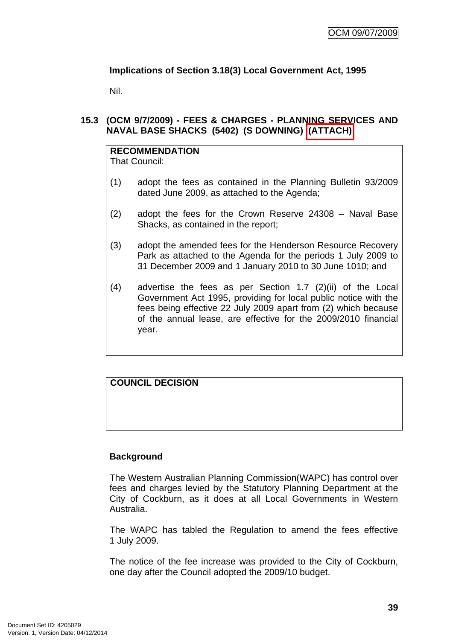# <span id="page-42-0"></span>**Implications of Section 3.18(3) Local Government Act, 1995**

Nil.

## **15.3 (OCM 9/7/2009) - FEES & CHARGES - PLANNING SERVICES AND NAVAL BASE SHACKS (5402) (S DOWNING) (ATTACH)**

# **RECOMMENDATION**

- That Council:
- (1) adopt the fees as contained in the Planning Bulletin 93/2009 dated June 2009, as attached to the Agenda;
- (2) adopt the fees for the Crown Reserve 24308 Naval Base Shacks, as contained in the report;
- (3) adopt the amended fees for the Henderson Resource Recovery Park as attached to the Agenda for the periods 1 July 2009 to 31 December 2009 and 1 January 2010 to 30 June 1010; and
- (4) advertise the fees as per Section 1.7 (2)(ii) of the Local Government Act 1995, providing for local public notice with the fees being effective 22 July 2009 apart from (2) which because of the annual lease, are effective for the 2009/2010 financial year.

# **COUNCIL DECISION**

# **Background**

The Western Australian Planning Commission(WAPC) has control over fees and charges levied by the Statutory Planning Department at the City of Cockburn, as it does at all Local Governments in Western Australia.

The WAPC has tabled the Regulation to amend the fees effective 1 July 2009.

The notice of the fee increase was provided to the City of Cockburn, one day after the Council adopted the 2009/10 budget.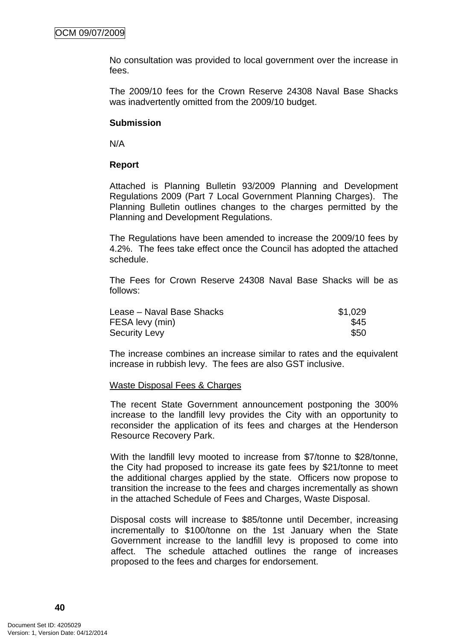No consultation was provided to local government over the increase in fees.

The 2009/10 fees for the Crown Reserve 24308 Naval Base Shacks was inadvertently omitted from the 2009/10 budget.

#### **Submission**

N/A

#### **Report**

Attached is Planning Bulletin 93/2009 Planning and Development Regulations 2009 (Part 7 Local Government Planning Charges). The Planning Bulletin outlines changes to the charges permitted by the Planning and Development Regulations.

The Regulations have been amended to increase the 2009/10 fees by 4.2%. The fees take effect once the Council has adopted the attached schedule.

The Fees for Crown Reserve 24308 Naval Base Shacks will be as follows:

| Lease – Naval Base Shacks | \$1,029 |
|---------------------------|---------|
| FESA levy (min)           | \$45    |
| <b>Security Levy</b>      | \$50    |

The increase combines an increase similar to rates and the equivalent increase in rubbish levy. The fees are also GST inclusive.

#### Waste Disposal Fees & Charges

The recent State Government announcement postponing the 300% increase to the landfill levy provides the City with an opportunity to reconsider the application of its fees and charges at the Henderson Resource Recovery Park.

With the landfill levy mooted to increase from \$7/tonne to \$28/tonne, the City had proposed to increase its gate fees by \$21/tonne to meet the additional charges applied by the state. Officers now propose to transition the increase to the fees and charges incrementally as shown in the attached Schedule of Fees and Charges, Waste Disposal.

Disposal costs will increase to \$85/tonne until December, increasing incrementally to \$100/tonne on the 1st January when the State Government increase to the landfill levy is proposed to come into affect. The schedule attached outlines the range of increases proposed to the fees and charges for endorsement.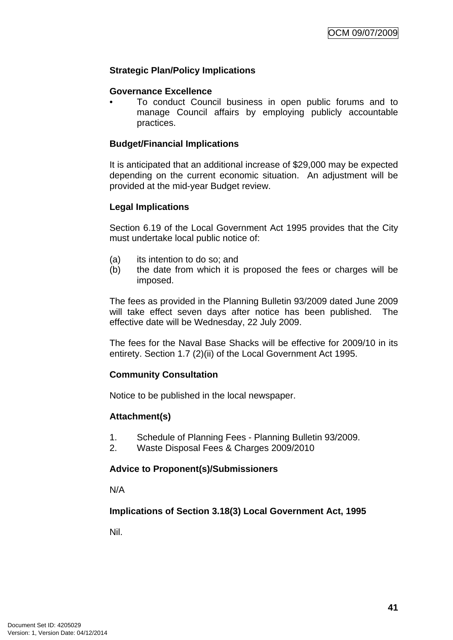# **Strategic Plan/Policy Implications**

## **Governance Excellence**

• To conduct Council business in open public forums and to manage Council affairs by employing publicly accountable practices.

## **Budget/Financial Implications**

It is anticipated that an additional increase of \$29,000 may be expected depending on the current economic situation. An adjustment will be provided at the mid-year Budget review.

#### **Legal Implications**

Section 6.19 of the Local Government Act 1995 provides that the City must undertake local public notice of:

- (a) its intention to do so; and
- (b) the date from which it is proposed the fees or charges will be imposed.

The fees as provided in the Planning Bulletin 93/2009 dated June 2009 will take effect seven days after notice has been published. The effective date will be Wednesday, 22 July 2009.

The fees for the Naval Base Shacks will be effective for 2009/10 in its entirety. Section 1.7 (2)(ii) of the Local Government Act 1995.

#### **Community Consultation**

Notice to be published in the local newspaper.

#### **Attachment(s)**

- 1. Schedule of Planning Fees Planning Bulletin 93/2009.
- 2. Waste Disposal Fees & Charges 2009/2010

#### **Advice to Proponent(s)/Submissioners**

N/A

**Implications of Section 3.18(3) Local Government Act, 1995**

Nil.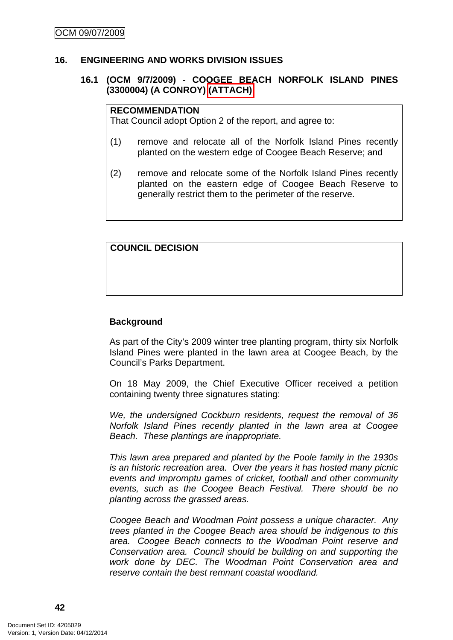#### <span id="page-45-0"></span>**16. ENGINEERING AND WORKS DIVISION ISSUES**

#### **16.1 (OCM 9/7/2009) - COOGEE BEACH NORFOLK ISLAND PINES (3300004) (A CONROY) (ATTACH)**

#### **RECOMMENDATION**

That Council adopt Option 2 of the report, and agree to:

- (1) remove and relocate all of the Norfolk Island Pines recently planted on the western edge of Coogee Beach Reserve; and
- (2) remove and relocate some of the Norfolk Island Pines recently planted on the eastern edge of Coogee Beach Reserve to generally restrict them to the perimeter of the reserve.

# **COUNCIL DECISION**

#### **Background**

As part of the City's 2009 winter tree planting program, thirty six Norfolk Island Pines were planted in the lawn area at Coogee Beach, by the Council's Parks Department.

On 18 May 2009, the Chief Executive Officer received a petition containing twenty three signatures stating:

*We, the undersigned Cockburn residents, request the removal of 36 Norfolk Island Pines recently planted in the lawn area at Coogee Beach. These plantings are inappropriate.* 

*This lawn area prepared and planted by the Poole family in the 1930s is an historic recreation area. Over the years it has hosted many picnic events and impromptu games of cricket, football and other community events, such as the Coogee Beach Festival. There should be no planting across the grassed areas.* 

*Coogee Beach and Woodman Point possess a unique character. Any trees planted in the Coogee Beach area should be indigenous to this area. Coogee Beach connects to the Woodman Point reserve and Conservation area. Council should be building on and supporting the work done by DEC. The Woodman Point Conservation area and reserve contain the best remnant coastal woodland.*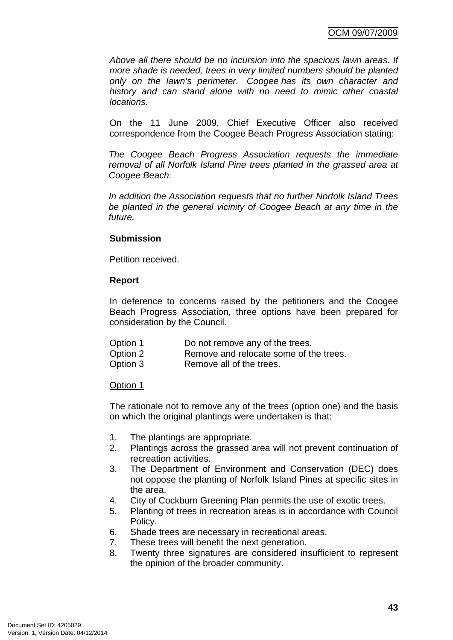*Above all there should be no incursion into the spacious lawn areas. If more shade is needed, trees in very limited numbers should be planted only on the lawn's perimeter. Coogee has its own character and history and can stand alone with no need to mimic other coastal locations.* 

On the 11 June 2009, Chief Executive Officer also received correspondence from the Coogee Beach Progress Association stating:

*The Coogee Beach Progress Association requests the immediate removal of all Norfolk Island Pine trees planted in the grassed area at Coogee Beach.* 

*In addition the Association requests that no further Norfolk Island Trees be planted in the general vicinity of Coogee Beach at any time in the future.*

#### **Submission**

Petition received.

#### **Report**

In deference to concerns raised by the petitioners and the Coogee Beach Progress Association, three options have been prepared for consideration by the Council.

| Option 1 | Do not remove any of the trees.        |
|----------|----------------------------------------|
| Option 2 | Remove and relocate some of the trees. |
| Option 3 | Remove all of the trees.               |

#### Option 1

The rationale not to remove any of the trees (option one) and the basis on which the original plantings were undertaken is that:

- 1. The plantings are appropriate.
- 2. Plantings across the grassed area will not prevent continuation of recreation activities.
- 3. The Department of Environment and Conservation (DEC) does not oppose the planting of Norfolk Island Pines at specific sites in the area.
- 4. City of Cockburn Greening Plan permits the use of exotic trees.
- 5. Planting of trees in recreation areas is in accordance with Council Policy.
- 6. Shade trees are necessary in recreational areas.
- 7. These trees will benefit the next generation.
- 8. Twenty three signatures are considered insufficient to represent the opinion of the broader community.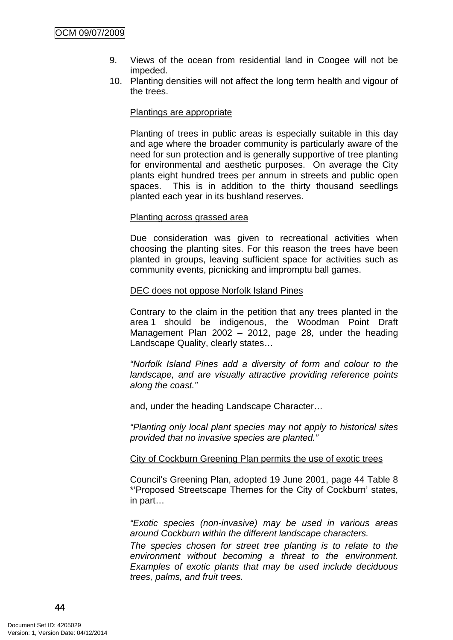- 9. Views of the ocean from residential land in Coogee will not be impeded.
- 10. Planting densities will not affect the long term health and vigour of the trees.

#### Plantings are appropriate

Planting of trees in public areas is especially suitable in this day and age where the broader community is particularly aware of the need for sun protection and is generally supportive of tree planting for environmental and aesthetic purposes. On average the City plants eight hundred trees per annum in streets and public open spaces. This is in addition to the thirty thousand seedlings planted each year in its bushland reserves.

#### Planting across grassed area

Due consideration was given to recreational activities when choosing the planting sites. For this reason the trees have been planted in groups, leaving sufficient space for activities such as community events, picnicking and impromptu ball games.

#### DEC does not oppose Norfolk Island Pines

Contrary to the claim in the petition that any trees planted in the area 1 should be indigenous, the Woodman Point Draft Management Plan 2002 – 2012, page 28, under the heading Landscape Quality, clearly states…

*"Norfolk Island Pines add a diversity of form and colour to the landscape, and are visually attractive providing reference points along the coast."* 

and, under the heading Landscape Character…

*"Planting only local plant species may not apply to historical sites provided that no invasive species are planted."* 

#### City of Cockburn Greening Plan permits the use of exotic trees

Council's Greening Plan, adopted 19 June 2001, page 44 Table 8 \*'Proposed Streetscape Themes for the City of Cockburn' states, in part…

*"Exotic species (non-invasive) may be used in various areas around Cockburn within the different landscape characters.* 

*The species chosen for street tree planting is to relate to the environment without becoming a threat to the environment. Examples of exotic plants that may be used include deciduous trees, palms, and fruit trees.*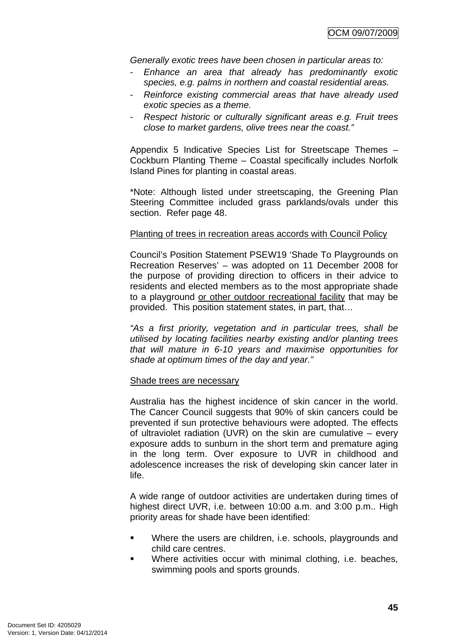*Generally exotic trees have been chosen in particular areas to:* 

- *Enhance an area that already has predominantly exotic species, e.g. palms in northern and coastal residential areas.*
- *Reinforce existing commercial areas that have already used exotic species as a theme.*
- *Respect historic or culturally significant areas e.g. Fruit trees close to market gardens, olive trees near the coast."*

Appendix 5 Indicative Species List for Streetscape Themes – Cockburn Planting Theme – Coastal specifically includes Norfolk Island Pines for planting in coastal areas.

\*Note: Although listed under streetscaping, the Greening Plan Steering Committee included grass parklands/ovals under this section. Refer page 48.

#### Planting of trees in recreation areas accords with Council Policy

Council's Position Statement PSEW19 'Shade To Playgrounds on Recreation Reserves' – was adopted on 11 December 2008 for the purpose of providing direction to officers in their advice to residents and elected members as to the most appropriate shade to a playground or other outdoor recreational facility that may be provided. This position statement states, in part, that…

*"As a first priority, vegetation and in particular trees, shall be utilised by locating facilities nearby existing and/or planting trees that will mature in 6-10 years and maximise opportunities for shade at optimum times of the day and year."* 

#### Shade trees are necessary

Australia has the highest incidence of skin cancer in the world. The Cancer Council suggests that 90% of skin cancers could be prevented if sun protective behaviours were adopted. The effects of ultraviolet radiation (UVR) on the skin are cumulative – every exposure adds to sunburn in the short term and premature aging in the long term. Over exposure to UVR in childhood and adolescence increases the risk of developing skin cancer later in life.

A wide range of outdoor activities are undertaken during times of highest direct UVR, i.e. between 10:00 a.m. and 3:00 p.m.. High priority areas for shade have been identified:

- Where the users are children, i.e. schools, playgrounds and child care centres.
- Where activities occur with minimal clothing, i.e. beaches, swimming pools and sports grounds.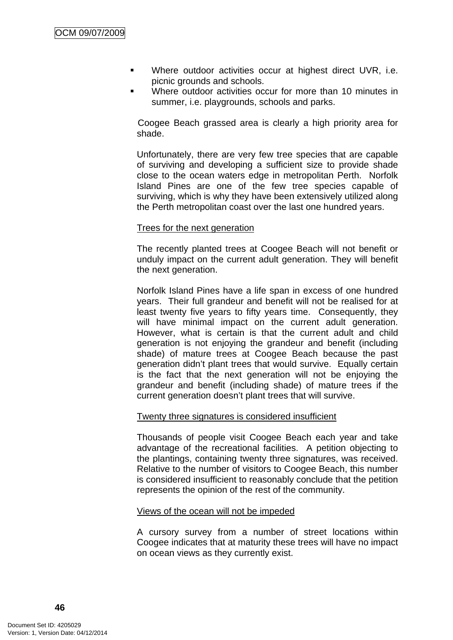- Where outdoor activities occur at highest direct UVR, i.e. picnic grounds and schools.
- Where outdoor activities occur for more than 10 minutes in summer, i.e. playgrounds, schools and parks.

Coogee Beach grassed area is clearly a high priority area for shade.

Unfortunately, there are very few tree species that are capable of surviving and developing a sufficient size to provide shade close to the ocean waters edge in metropolitan Perth. Norfolk Island Pines are one of the few tree species capable of surviving, which is why they have been extensively utilized along the Perth metropolitan coast over the last one hundred years.

#### Trees for the next generation

The recently planted trees at Coogee Beach will not benefit or unduly impact on the current adult generation. They will benefit the next generation.

Norfolk Island Pines have a life span in excess of one hundred years. Their full grandeur and benefit will not be realised for at least twenty five years to fifty years time. Consequently, they will have minimal impact on the current adult generation. However, what is certain is that the current adult and child generation is not enjoying the grandeur and benefit (including shade) of mature trees at Coogee Beach because the past generation didn't plant trees that would survive. Equally certain is the fact that the next generation will not be enjoying the grandeur and benefit (including shade) of mature trees if the current generation doesn't plant trees that will survive.

#### Twenty three signatures is considered insufficient

Thousands of people visit Coogee Beach each year and take advantage of the recreational facilities. A petition objecting to the plantings, containing twenty three signatures, was received. Relative to the number of visitors to Coogee Beach, this number is considered insufficient to reasonably conclude that the petition represents the opinion of the rest of the community.

#### Views of the ocean will not be impeded

A cursory survey from a number of street locations within Coogee indicates that at maturity these trees will have no impact on ocean views as they currently exist.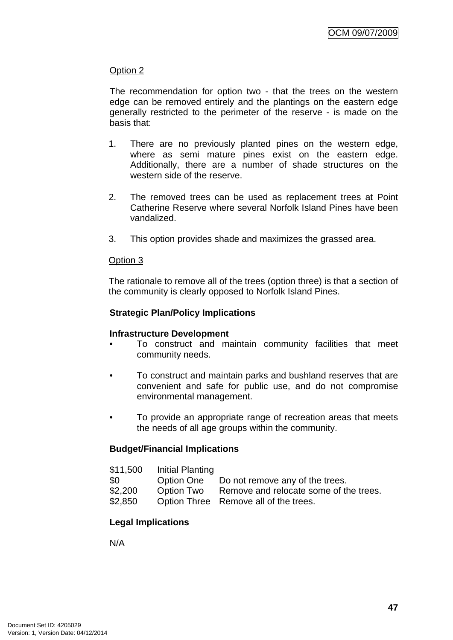# Option 2

The recommendation for option two - that the trees on the western edge can be removed entirely and the plantings on the eastern edge generally restricted to the perimeter of the reserve - is made on the basis that:

- 1. There are no previously planted pines on the western edge, where as semi mature pines exist on the eastern edge. Additionally, there are a number of shade structures on the western side of the reserve.
- 2. The removed trees can be used as replacement trees at Point Catherine Reserve where several Norfolk Island Pines have been vandalized.
- 3. This option provides shade and maximizes the grassed area.

#### Option 3

The rationale to remove all of the trees (option three) is that a section of the community is clearly opposed to Norfolk Island Pines.

# **Strategic Plan/Policy Implications**

#### **Infrastructure Development**

- To construct and maintain community facilities that meet community needs.
- To construct and maintain parks and bushland reserves that are convenient and safe for public use, and do not compromise environmental management.
- To provide an appropriate range of recreation areas that meets the needs of all age groups within the community.

#### **Budget/Financial Implications**

| \$11,500 | Initial Planting |                                                   |
|----------|------------------|---------------------------------------------------|
| \$0      |                  | Option One Do not remove any of the trees.        |
| \$2,200  |                  | Option Two Remove and relocate some of the trees. |
| \$2,850  |                  | Option Three Remove all of the trees.             |

# **Legal Implications**

N/A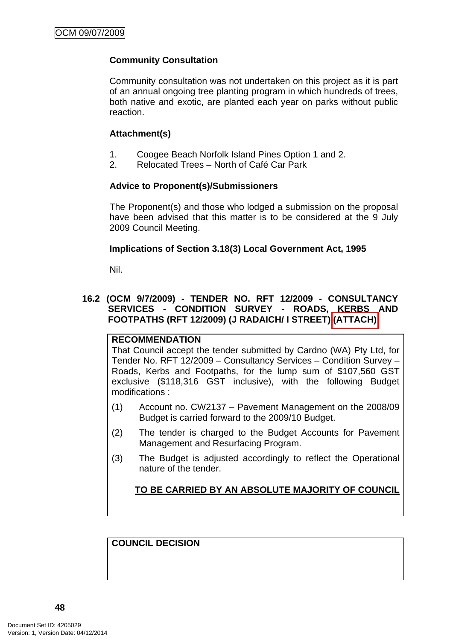# <span id="page-51-0"></span>**Community Consultation**

Community consultation was not undertaken on this project as it is part of an annual ongoing tree planting program in which hundreds of trees, both native and exotic, are planted each year on parks without public reaction.

#### **Attachment(s)**

- 1. Coogee Beach Norfolk Island Pines Option 1 and 2.
- 2. Relocated Trees North of Café Car Park

#### **Advice to Proponent(s)/Submissioners**

The Proponent(s) and those who lodged a submission on the proposal have been advised that this matter is to be considered at the 9 July 2009 Council Meeting.

#### **Implications of Section 3.18(3) Local Government Act, 1995**

Nil.

# **16.2 (OCM 9/7/2009) - TENDER NO. RFT 12/2009 - CONSULTANCY SERVICES - CONDITION SURVEY - ROADS, KERBS AND FOOTPATHS (RFT 12/2009) (J RADAICH/ I STREET) (ATTACH)**

#### **RECOMMENDATION**

That Council accept the tender submitted by Cardno (WA) Pty Ltd, for Tender No. RFT 12/2009 – Consultancy Services – Condition Survey – Roads, Kerbs and Footpaths, for the lump sum of \$107,560 GST exclusive (\$118,316 GST inclusive), with the following Budget modifications :

- (1) Account no. CW2137 Pavement Management on the 2008/09 Budget is carried forward to the 2009/10 Budget.
- (2) The tender is charged to the Budget Accounts for Pavement Management and Resurfacing Program.
- (3) The Budget is adjusted accordingly to reflect the Operational nature of the tender.

# **TO BE CARRIED BY AN ABSOLUTE MAJORITY OF COUNCIL**

**COUNCIL DECISION**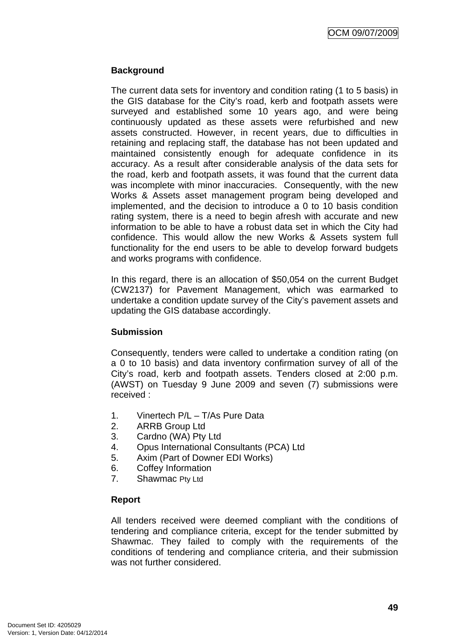OCM 09/07/2009

#### **Background**

The current data sets for inventory and condition rating (1 to 5 basis) in the GIS database for the City's road, kerb and footpath assets were surveyed and established some 10 years ago, and were being continuously updated as these assets were refurbished and new assets constructed. However, in recent years, due to difficulties in retaining and replacing staff, the database has not been updated and maintained consistently enough for adequate confidence in its accuracy. As a result after considerable analysis of the data sets for the road, kerb and footpath assets, it was found that the current data was incomplete with minor inaccuracies. Consequently, with the new Works & Assets asset management program being developed and implemented, and the decision to introduce a 0 to 10 basis condition rating system, there is a need to begin afresh with accurate and new information to be able to have a robust data set in which the City had confidence. This would allow the new Works & Assets system full functionality for the end users to be able to develop forward budgets and works programs with confidence.

In this regard, there is an allocation of \$50,054 on the current Budget (CW2137) for Pavement Management, which was earmarked to undertake a condition update survey of the City's pavement assets and updating the GIS database accordingly.

#### **Submission**

Consequently, tenders were called to undertake a condition rating (on a 0 to 10 basis) and data inventory confirmation survey of all of the City's road, kerb and footpath assets. Tenders closed at 2:00 p.m. (AWST) on Tuesday 9 June 2009 and seven (7) submissions were received :

- 1. Vinertech P/L T/As Pure Data
- 2. ARRB Group Ltd
- 3. Cardno (WA) Pty Ltd
- 4. Opus International Consultants (PCA) Ltd
- 5. Axim (Part of Downer EDI Works)
- 6. Coffey Information
- 7. Shawmac Pty Ltd

# **Report**

All tenders received were deemed compliant with the conditions of tendering and compliance criteria, except for the tender submitted by Shawmac. They failed to comply with the requirements of the conditions of tendering and compliance criteria, and their submission was not further considered.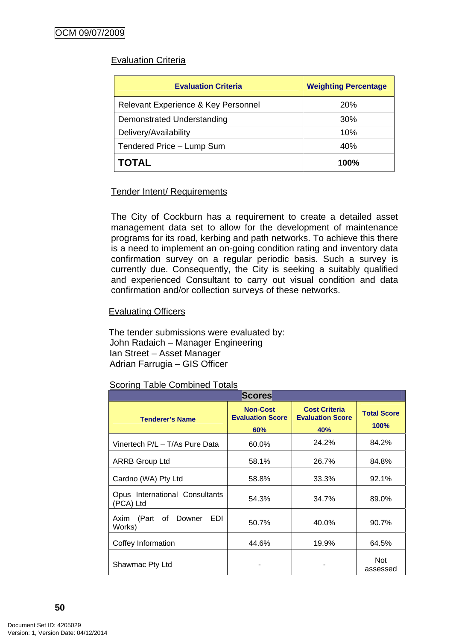# Evaluation Criteria

| <b>Evaluation Criteria</b>          | <b>Weighting Percentage</b> |
|-------------------------------------|-----------------------------|
| Relevant Experience & Key Personnel | <b>20%</b>                  |
| Demonstrated Understanding          | 30%                         |
| Delivery/Availability               | 10%                         |
| Tendered Price - Lump Sum           | 40%                         |
| <b>TOTAL</b>                        | 100%                        |

# Tender Intent/ Requirements

The City of Cockburn has a requirement to create a detailed asset management data set to allow for the development of maintenance programs for its road, kerbing and path networks. To achieve this there is a need to implement an on-going condition rating and inventory data confirmation survey on a regular periodic basis. Such a survey is currently due. Consequently, the City is seeking a suitably qualified and experienced Consultant to carry out visual condition and data confirmation and/or collection surveys of these networks.

#### Evaluating Officers

The tender submissions were evaluated by: John Radaich – Manager Engineering Ian Street – Asset Manager Adrian Farrugia – GIS Officer

#### **Scoring Table Combined Totals**

| <b>Scores</b>                                     |                                                   |                                                               |                            |  |
|---------------------------------------------------|---------------------------------------------------|---------------------------------------------------------------|----------------------------|--|
| <b>Tenderer's Name</b>                            | <b>Non-Cost</b><br><b>Evaluation Score</b><br>60% | <b>Cost Criteria</b><br><b>Evaluation Score</b><br><b>40%</b> | <b>Total Score</b><br>100% |  |
| Vinertech P/L - T/As Pure Data                    | 60.0%                                             | 24.2%                                                         | 84.2%                      |  |
| <b>ARRB Group Ltd</b>                             | 58.1%                                             | 26.7%                                                         | 84.8%                      |  |
| Cardno (WA) Pty Ltd                               | 58.8%                                             | 33.3%                                                         | 92.1%                      |  |
| Opus International Consultants<br>(PCA) Ltd       | 54.3%                                             | 34.7%                                                         | 89.0%                      |  |
| (Part<br>of l<br>EDI.<br>Axim<br>Downer<br>Works) | 50.7%                                             | 40.0%                                                         | 90.7%                      |  |
| Coffey Information                                | 44.6%                                             | 19.9%                                                         | 64.5%                      |  |
| Shawmac Pty Ltd                                   |                                                   |                                                               | <b>Not</b><br>assessed     |  |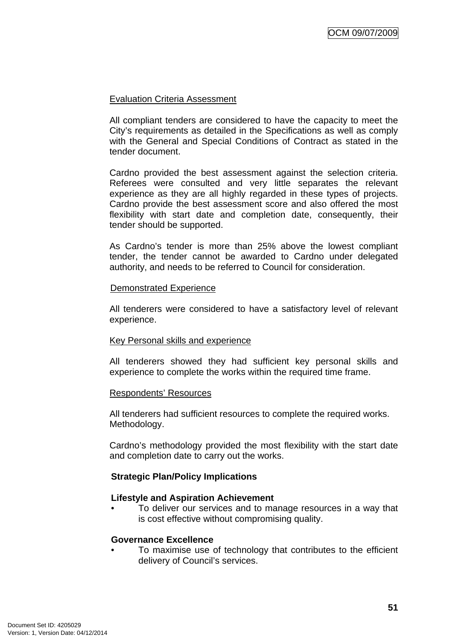## Evaluation Criteria Assessment

All compliant tenders are considered to have the capacity to meet the City's requirements as detailed in the Specifications as well as comply with the General and Special Conditions of Contract as stated in the tender document.

Cardno provided the best assessment against the selection criteria. Referees were consulted and very little separates the relevant experience as they are all highly regarded in these types of projects. Cardno provide the best assessment score and also offered the most flexibility with start date and completion date, consequently, their tender should be supported.

As Cardno's tender is more than 25% above the lowest compliant tender, the tender cannot be awarded to Cardno under delegated authority, and needs to be referred to Council for consideration.

#### Demonstrated Experience

All tenderers were considered to have a satisfactory level of relevant experience.

#### Key Personal skills and experience

All tenderers showed they had sufficient key personal skills and experience to complete the works within the required time frame.

#### Respondents' Resources

All tenderers had sufficient resources to complete the required works. Methodology.

Cardno's methodology provided the most flexibility with the start date and completion date to carry out the works.

# **Strategic Plan/Policy Implications**

#### **Lifestyle and Aspiration Achievement**

• To deliver our services and to manage resources in a way that is cost effective without compromising quality.

#### **Governance Excellence**

• To maximise use of technology that contributes to the efficient delivery of Council's services.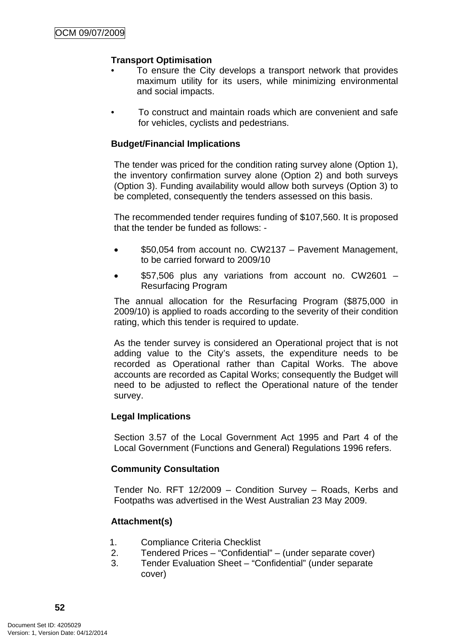# **Transport Optimisation**

- To ensure the City develops a transport network that provides maximum utility for its users, while minimizing environmental and social impacts.
- To construct and maintain roads which are convenient and safe for vehicles, cyclists and pedestrians.

# **Budget/Financial Implications**

The tender was priced for the condition rating survey alone (Option 1), the inventory confirmation survey alone (Option 2) and both surveys (Option 3). Funding availability would allow both surveys (Option 3) to be completed, consequently the tenders assessed on this basis.

The recommended tender requires funding of \$107,560. It is proposed that the tender be funded as follows: -

- \$50,054 from account no. CW2137 Pavement Management, to be carried forward to 2009/10
- \$57,506 plus any variations from account no. CW2601 Resurfacing Program

The annual allocation for the Resurfacing Program (\$875,000 in 2009/10) is applied to roads according to the severity of their condition rating, which this tender is required to update.

As the tender survey is considered an Operational project that is not adding value to the City's assets, the expenditure needs to be recorded as Operational rather than Capital Works. The above accounts are recorded as Capital Works; consequently the Budget will need to be adjusted to reflect the Operational nature of the tender survey.

#### **Legal Implications**

Section 3.57 of the Local Government Act 1995 and Part 4 of the Local Government (Functions and General) Regulations 1996 refers.

#### **Community Consultation**

Tender No. RFT 12/2009 – Condition Survey – Roads, Kerbs and Footpaths was advertised in the West Australian 23 May 2009.

#### **Attachment(s)**

- 1. Compliance Criteria Checklist
- 2. Tendered Prices "Confidential" (under separate cover)
- 3. Tender Evaluation Sheet "Confidential" (under separate cover)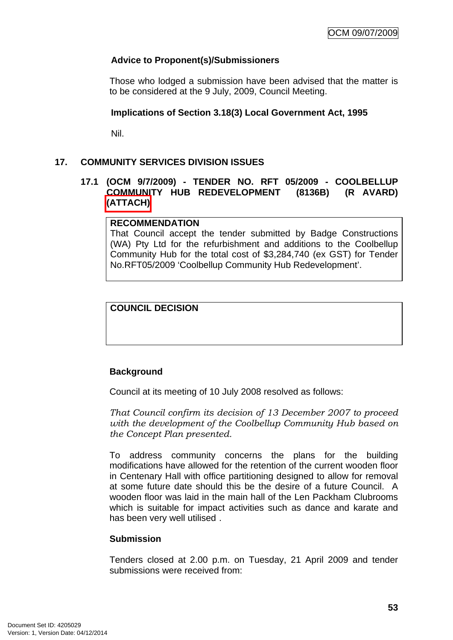# <span id="page-56-0"></span>**Advice to Proponent(s)/Submissioners**

Those who lodged a submission have been advised that the matter is to be considered at the 9 July, 2009, Council Meeting.

#### **Implications of Section 3.18(3) Local Government Act, 1995**

Nil.

# **17. COMMUNITY SERVICES DIVISION ISSUES**

#### **17.1 (OCM 9/7/2009) - TENDER NO. RFT 05/2009 - COOLBELLUP COMMUNITY HUB REDEVELOPMENT (8136B) (R AVARD) (ATTACH)**

#### **RECOMMENDATION**

That Council accept the tender submitted by Badge Constructions (WA) Pty Ltd for the refurbishment and additions to the Coolbellup Community Hub for the total cost of \$3,284,740 (ex GST) for Tender No.RFT05/2009 'Coolbellup Community Hub Redevelopment'.

# **COUNCIL DECISION**

# **Background**

Council at its meeting of 10 July 2008 resolved as follows:

*That Council confirm its decision of 13 December 2007 to proceed with the development of the Coolbellup Community Hub based on the Concept Plan presented.* 

To address community concerns the plans for the building modifications have allowed for the retention of the current wooden floor in Centenary Hall with office partitioning designed to allow for removal at some future date should this be the desire of a future Council. A wooden floor was laid in the main hall of the Len Packham Clubrooms which is suitable for impact activities such as dance and karate and has been very well utilised .

#### **Submission**

Tenders closed at 2.00 p.m. on Tuesday, 21 April 2009 and tender submissions were received from: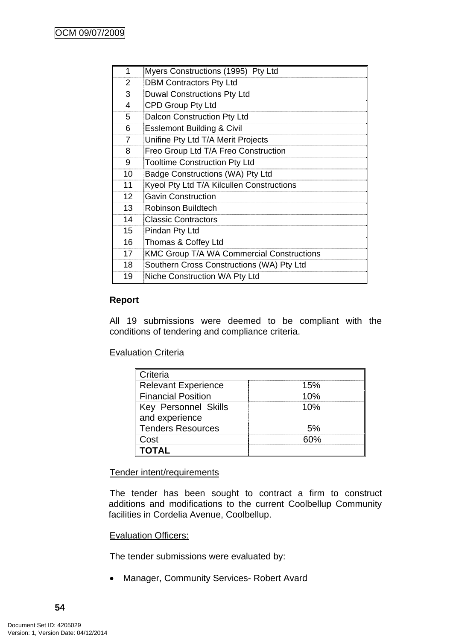| 1               | Myers Constructions (1995) Pty Ltd               |
|-----------------|--------------------------------------------------|
| 2               | <b>DBM Contractors Pty Ltd</b>                   |
| 3               | <b>Duwal Constructions Pty Ltd</b>               |
| 4               | <b>CPD Group Pty Ltd</b>                         |
| 5               | Dalcon Construction Pty Ltd                      |
| 6               | <b>Esslemont Building &amp; Civil</b>            |
| 7               | Unifine Pty Ltd T/A Merit Projects               |
| 8               | Freo Group Ltd T/A Freo Construction             |
| 9               | <b>Tooltime Construction Pty Ltd</b>             |
| 10              | Badge Constructions (WA) Pty Ltd                 |
| 11              | Kyeol Pty Ltd T/A Kilcullen Constructions        |
| 12 <sup>2</sup> | <b>Gavin Construction</b>                        |
| 13              | Robinson Buildtech                               |
| 14              | <b>Classic Contractors</b>                       |
| 15              | Pindan Pty Ltd                                   |
| 16              | Thomas & Coffey Ltd                              |
| 17              | <b>KMC Group T/A WA Commercial Constructions</b> |
| 18              | Southern Cross Constructions (WA) Pty Ltd        |
| 19              | Niche Construction WA Pty Ltd                    |

# **Report**

All 19 submissions were deemed to be compliant with the conditions of tendering and compliance criteria.

**Evaluation Criteria** 

| Criteria                   |     |
|----------------------------|-----|
| <b>Relevant Experience</b> | 15% |
| <b>Financial Position</b>  | 1በ% |
| Key Personnel Skills       | 10% |
| and experience             |     |
| <b>Tenders Resources</b>   |     |
| Cost                       |     |
| ΤΩΤΔΙ                      |     |

Tender intent/requirements

The tender has been sought to contract a firm to construct additions and modifications to the current Coolbellup Community facilities in Cordelia Avenue, Coolbellup.

#### **Evaluation Officers:**

The tender submissions were evaluated by:

• Manager, Community Services- Robert Avard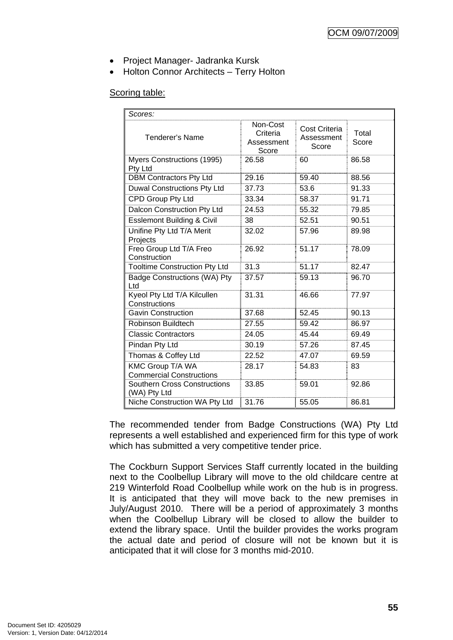- Project Manager- Jadranka Kursk
- Holton Connor Architects Terry Holton

## Scoring table:

| Scores:                                                    |                                             |                                      |                |  |
|------------------------------------------------------------|---------------------------------------------|--------------------------------------|----------------|--|
| Tenderer's Name                                            | Non-Cost<br>Criteria<br>Assessment<br>Score | Cost Criteria<br>Assessment<br>Score | Total<br>Score |  |
| Myers Constructions (1995)<br>Pty Ltd                      | 26.58                                       | 60                                   | 86.58          |  |
| <b>DBM Contractors Pty Ltd</b>                             | 29.16                                       | 59.40                                | 88.56          |  |
| Duwal Constructions Pty Ltd                                | 37.73                                       | 53.6                                 | 91.33          |  |
| CPD Group Pty Ltd                                          | 33.34                                       | 58.37                                | 91.71          |  |
| Dalcon Construction Pty Ltd                                | 24.53                                       | 55.32                                | 79.85          |  |
| <b>Esslemont Building &amp; Civil</b>                      | 38                                          | 52.51                                | 90.51          |  |
| Unifine Pty Ltd T/A Merit<br>Projects                      | 32.02                                       | 57.96                                | 89.98          |  |
| Freo Group Ltd T/A Freo<br>Construction                    | 26.92                                       | 51.17                                | 78.09          |  |
| <b>Tooltime Construction Pty Ltd</b>                       | 31.3                                        | 51.17                                | 82.47          |  |
| <b>Badge Constructions (WA) Pty</b><br>Ltd                 | 37.57                                       | 59.13                                | 96.70          |  |
| Kyeol Pty Ltd T/A Kilcullen<br>Constructions               | 31.31                                       | 46.66                                | 77.97          |  |
| <b>Gavin Construction</b>                                  | 37.68                                       | 52.45                                | 90.13          |  |
| <b>Robinson Buildtech</b>                                  | 27.55                                       | 59.42                                | 86.97          |  |
| <b>Classic Contractors</b>                                 | 24.05                                       | 45.44                                | 69.49          |  |
| Pindan Pty Ltd                                             | 30.19                                       | 57.26                                | 87.45          |  |
| Thomas & Coffey Ltd                                        | 22.52                                       | 47.07                                | 69.59          |  |
| <b>KMC Group T/A WA</b><br><b>Commercial Constructions</b> | 28.17                                       | 54.83                                | 83             |  |
| <b>Southern Cross Constructions</b><br>(WA) Pty Ltd        | 33.85                                       | 59.01                                | 92.86          |  |
| Niche Construction WA Pty Ltd                              | 31.76                                       | 55.05                                | 86.81          |  |

The recommended tender from Badge Constructions (WA) Pty Ltd represents a well established and experienced firm for this type of work which has submitted a very competitive tender price.

The Cockburn Support Services Staff currently located in the building next to the Coolbellup Library will move to the old childcare centre at 219 Winterfold Road Coolbellup while work on the hub is in progress. It is anticipated that they will move back to the new premises in July/August 2010. There will be a period of approximately 3 months when the Coolbellup Library will be closed to allow the builder to extend the library space. Until the builder provides the works program the actual date and period of closure will not be known but it is anticipated that it will close for 3 months mid-2010.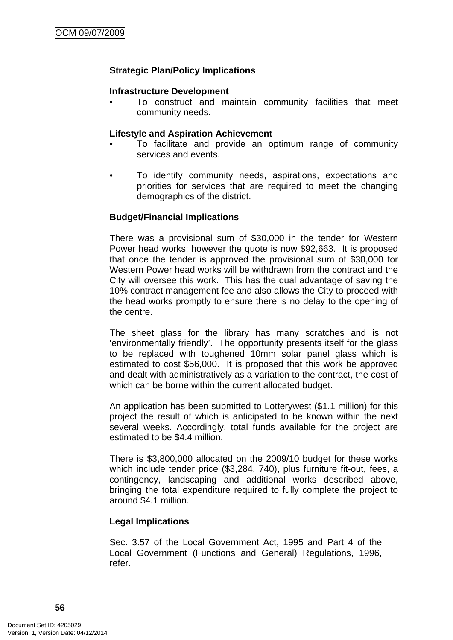# **Strategic Plan/Policy Implications**

#### **Infrastructure Development**

• To construct and maintain community facilities that meet community needs.

#### **Lifestyle and Aspiration Achievement**

- To facilitate and provide an optimum range of community services and events.
- To identify community needs, aspirations, expectations and priorities for services that are required to meet the changing demographics of the district.

#### **Budget/Financial Implications**

There was a provisional sum of \$30,000 in the tender for Western Power head works; however the quote is now \$92,663. It is proposed that once the tender is approved the provisional sum of \$30,000 for Western Power head works will be withdrawn from the contract and the City will oversee this work. This has the dual advantage of saving the 10% contract management fee and also allows the City to proceed with the head works promptly to ensure there is no delay to the opening of the centre.

The sheet glass for the library has many scratches and is not 'environmentally friendly'. The opportunity presents itself for the glass to be replaced with toughened 10mm solar panel glass which is estimated to cost \$56,000. It is proposed that this work be approved and dealt with administratively as a variation to the contract, the cost of which can be borne within the current allocated budget.

An application has been submitted to Lotterywest (\$1.1 million) for this project the result of which is anticipated to be known within the next several weeks. Accordingly, total funds available for the project are estimated to be \$4.4 million.

There is \$3,800,000 allocated on the 2009/10 budget for these works which include tender price (\$3,284, 740), plus furniture fit-out, fees, a contingency, landscaping and additional works described above, bringing the total expenditure required to fully complete the project to around \$4.1 million.

#### **Legal Implications**

Sec. 3.57 of the Local Government Act, 1995 and Part 4 of the Local Government (Functions and General) Regulations, 1996, refer.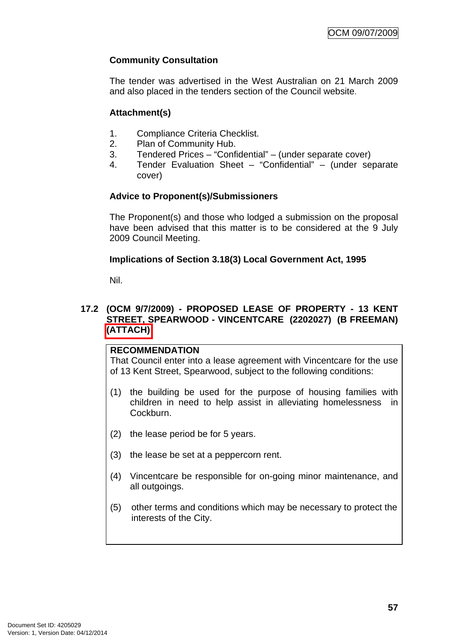# <span id="page-60-0"></span>**Community Consultation**

The tender was advertised in the West Australian on 21 March 2009 and also placed in the tenders section of the Council website.

# **Attachment(s)**

- 1. Compliance Criteria Checklist.
- 2. Plan of Community Hub.
- 3. Tendered Prices "Confidential" (under separate cover)
- 4. Tender Evaluation Sheet "Confidential" (under separate cover)

# **Advice to Proponent(s)/Submissioners**

The Proponent(s) and those who lodged a submission on the proposal have been advised that this matter is to be considered at the 9 July 2009 Council Meeting.

# **Implications of Section 3.18(3) Local Government Act, 1995**

Nil.

# **17.2 (OCM 9/7/2009) - PROPOSED LEASE OF PROPERTY - 13 KENT STREET, SPEARWOOD - VINCENTCARE (2202027) (B FREEMAN) (ATTACH)**

# **RECOMMENDATION**

That Council enter into a lease agreement with Vincentcare for the use of 13 Kent Street, Spearwood, subject to the following conditions:

- (1) the building be used for the purpose of housing families with children in need to help assist in alleviating homelessness in **Cockburn**
- (2) the lease period be for 5 years.
- (3) the lease be set at a peppercorn rent.
- (4) Vincentcare be responsible for on-going minor maintenance, and all outgoings.
- (5) other terms and conditions which may be necessary to protect the interests of the City.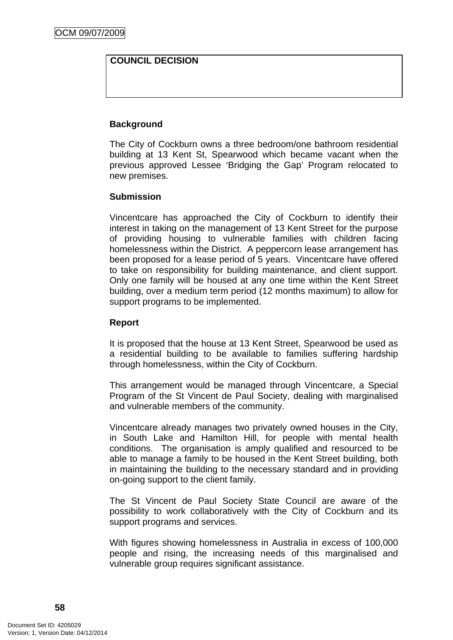# **COUNCIL DECISION**

#### **Background**

The City of Cockburn owns a three bedroom/one bathroom residential building at 13 Kent St, Spearwood which became vacant when the previous approved Lessee 'Bridging the Gap' Program relocated to new premises.

#### **Submission**

Vincentcare has approached the City of Cockburn to identify their interest in taking on the management of 13 Kent Street for the purpose of providing housing to vulnerable families with children facing homelessness within the District. A peppercorn lease arrangement has been proposed for a lease period of 5 years. Vincentcare have offered to take on responsibility for building maintenance, and client support. Only one family will be housed at any one time within the Kent Street building, over a medium term period (12 months maximum) to allow for support programs to be implemented.

#### **Report**

It is proposed that the house at 13 Kent Street, Spearwood be used as a residential building to be available to families suffering hardship through homelessness, within the City of Cockburn.

This arrangement would be managed through Vincentcare, a Special Program of the St Vincent de Paul Society, dealing with marginalised and vulnerable members of the community.

Vincentcare already manages two privately owned houses in the City, in South Lake and Hamilton Hill, for people with mental health conditions. The organisation is amply qualified and resourced to be able to manage a family to be housed in the Kent Street building, both in maintaining the building to the necessary standard and in providing on-going support to the client family.

The St Vincent de Paul Society State Council are aware of the possibility to work collaboratively with the City of Cockburn and its support programs and services.

With figures showing homelessness in Australia in excess of 100,000 people and rising, the increasing needs of this marginalised and vulnerable group requires significant assistance.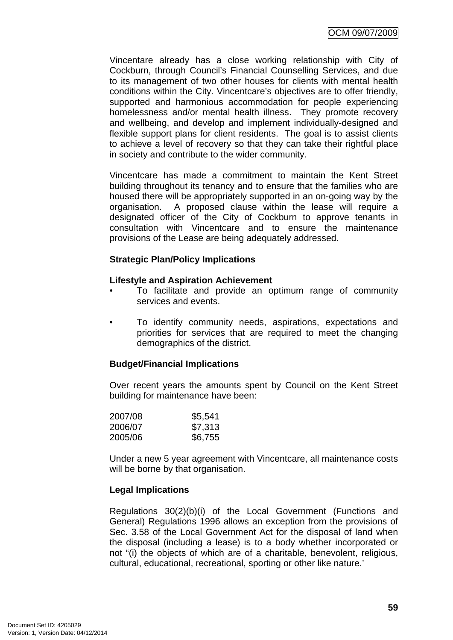Vincentare already has a close working relationship with City of Cockburn, through Council's Financial Counselling Services, and due to its management of two other houses for clients with mental health conditions within the City. Vincentcare's objectives are to offer friendly, supported and harmonious accommodation for people experiencing homelessness and/or mental health illness. They promote recovery and wellbeing, and develop and implement individually-designed and flexible support plans for client residents. The goal is to assist clients to achieve a level of recovery so that they can take their rightful place in society and contribute to the wider community.

Vincentcare has made a commitment to maintain the Kent Street building throughout its tenancy and to ensure that the families who are housed there will be appropriately supported in an on-going way by the organisation. A proposed clause within the lease will require a designated officer of the City of Cockburn to approve tenants in consultation with Vincentcare and to ensure the maintenance provisions of the Lease are being adequately addressed.

#### **Strategic Plan/Policy Implications**

#### **Lifestyle and Aspiration Achievement**

- To facilitate and provide an optimum range of community services and events.
- To identify community needs, aspirations, expectations and priorities for services that are required to meet the changing demographics of the district.

#### **Budget/Financial Implications**

Over recent years the amounts spent by Council on the Kent Street building for maintenance have been:

| 2007/08 | \$5,541 |
|---------|---------|
| 2006/07 | \$7,313 |
| 2005/06 | \$6,755 |

Under a new 5 year agreement with Vincentcare, all maintenance costs will be borne by that organisation.

# **Legal Implications**

Regulations 30(2)(b)(i) of the Local Government (Functions and General) Regulations 1996 allows an exception from the provisions of Sec. 3.58 of the Local Government Act for the disposal of land when the disposal (including a lease) is to a body whether incorporated or not "(i) the objects of which are of a charitable, benevolent, religious, cultural, educational, recreational, sporting or other like nature.'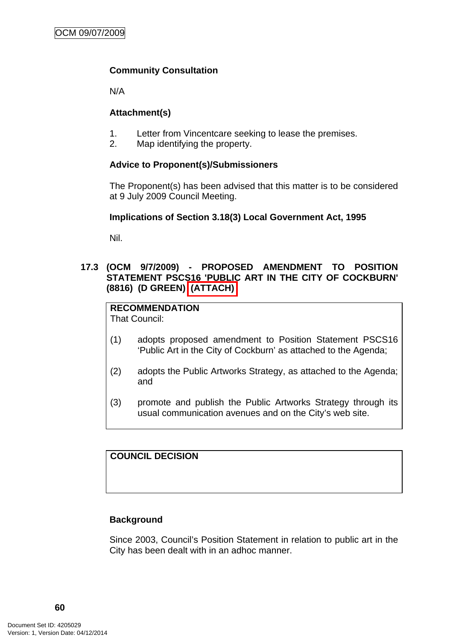# <span id="page-63-0"></span>**Community Consultation**

N/A

# **Attachment(s)**

- 1. Letter from Vincentcare seeking to lease the premises.
- 2. Map identifying the property.

# **Advice to Proponent(s)/Submissioners**

The Proponent(s) has been advised that this matter is to be considered at 9 July 2009 Council Meeting.

# **Implications of Section 3.18(3) Local Government Act, 1995**

Nil.

# **17.3 (OCM 9/7/2009) - PROPOSED AMENDMENT TO POSITION STATEMENT PSCS16 'PUBLIC ART IN THE CITY OF COCKBURN' (8816) (D GREEN) (ATTACH)**

**RECOMMENDATION** That Council:

- (1) adopts proposed amendment to Position Statement PSCS16 'Public Art in the City of Cockburn' as attached to the Agenda;
- (2) adopts the Public Artworks Strategy, as attached to the Agenda; and
- (3) promote and publish the Public Artworks Strategy through its usual communication avenues and on the City's web site.

# **COUNCIL DECISION**

# **Background**

Since 2003, Council's Position Statement in relation to public art in the City has been dealt with in an adhoc manner.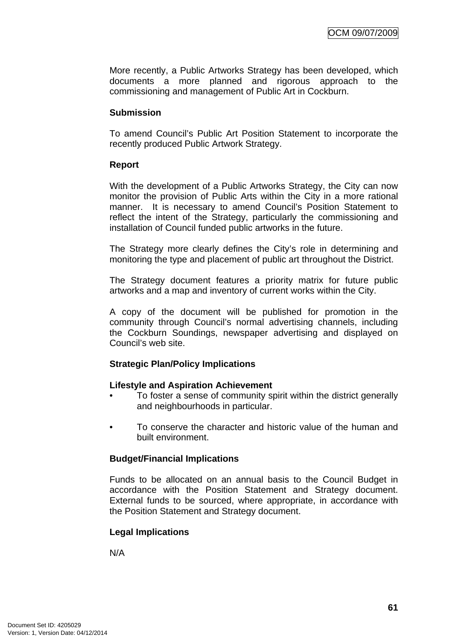More recently, a Public Artworks Strategy has been developed, which documents a more planned and rigorous approach to the commissioning and management of Public Art in Cockburn.

## **Submission**

To amend Council's Public Art Position Statement to incorporate the recently produced Public Artwork Strategy.

# **Report**

With the development of a Public Artworks Strategy, the City can now monitor the provision of Public Arts within the City in a more rational manner. It is necessary to amend Council's Position Statement to reflect the intent of the Strategy, particularly the commissioning and installation of Council funded public artworks in the future.

The Strategy more clearly defines the City's role in determining and monitoring the type and placement of public art throughout the District.

The Strategy document features a priority matrix for future public artworks and a map and inventory of current works within the City.

A copy of the document will be published for promotion in the community through Council's normal advertising channels, including the Cockburn Soundings, newspaper advertising and displayed on Council's web site.

# **Strategic Plan/Policy Implications**

#### **Lifestyle and Aspiration Achievement**

- To foster a sense of community spirit within the district generally and neighbourhoods in particular.
- To conserve the character and historic value of the human and built environment.

# **Budget/Financial Implications**

Funds to be allocated on an annual basis to the Council Budget in accordance with the Position Statement and Strategy document. External funds to be sourced, where appropriate, in accordance with the Position Statement and Strategy document.

# **Legal Implications**

N/A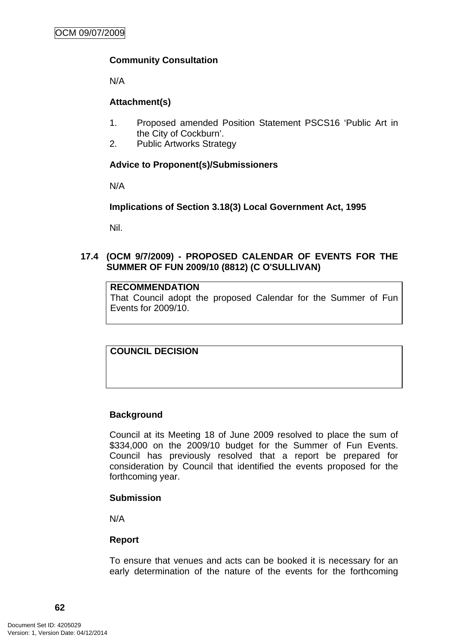# <span id="page-65-0"></span>**Community Consultation**

N/A

# **Attachment(s)**

- 1. Proposed amended Position Statement PSCS16 'Public Art in the City of Cockburn'.
- 2. Public Artworks Strategy

# **Advice to Proponent(s)/Submissioners**

N/A

**Implications of Section 3.18(3) Local Government Act, 1995**

Nil.

**17.4 (OCM 9/7/2009) - PROPOSED CALENDAR OF EVENTS FOR THE SUMMER OF FUN 2009/10 (8812) (C O'SULLIVAN)** 

# **RECOMMENDATION**

That Council adopt the proposed Calendar for the Summer of Fun Events for 2009/10.

# **COUNCIL DECISION**

# **Background**

Council at its Meeting 18 of June 2009 resolved to place the sum of \$334,000 on the 2009/10 budget for the Summer of Fun Events. Council has previously resolved that a report be prepared for consideration by Council that identified the events proposed for the forthcoming year.

#### **Submission**

N/A

# **Report**

To ensure that venues and acts can be booked it is necessary for an early determination of the nature of the events for the forthcoming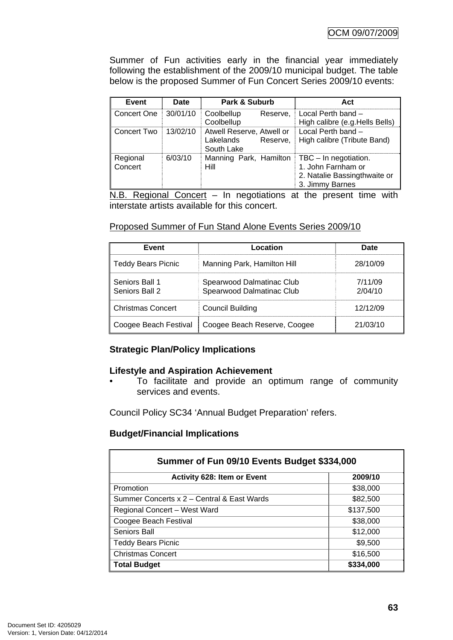Summer of Fun activities early in the financial year immediately following the establishment of the 2009/10 municipal budget. The table below is the proposed Summer of Fun Concert Series 2009/10 events:

| Event               | <b>Date</b> | Park & Suburb                                                    | Act                                                                                            |
|---------------------|-------------|------------------------------------------------------------------|------------------------------------------------------------------------------------------------|
| Concert One         | 30/01/10    | Coolbellup<br>Reserve,<br>Coolbellup                             | Local Perth band $-$<br>High calibre (e.g. Hells Bells)                                        |
| Concert Two         | 13/02/10    | Atwell Reserve, Atwell or<br>Lakelands<br>Reserve.<br>South Lake | Local Perth band -<br>High calibre (Tribute Band)                                              |
| Regional<br>Concert | 6/03/10     | Manning Park, Hamilton<br>Hill                                   | TBC - In negotiation.<br>1. John Farnham or<br>2. Natalie Bassingthwaite or<br>3. Jimmy Barnes |

N.B. Regional Concert – In negotiations at the present time with interstate artists available for this concert.

#### Proposed Summer of Fun Stand Alone Events Series 2009/10

| Event                            | Location                                               | Date               |
|----------------------------------|--------------------------------------------------------|--------------------|
| <b>Teddy Bears Picnic</b>        | Manning Park, Hamilton Hill                            | 28/10/09           |
| Seniors Ball 1<br>Seniors Ball 2 | Spearwood Dalmatinac Club<br>Spearwood Dalmatinac Club | 7/11/09<br>2/04/10 |
| <b>Christmas Concert</b>         | <b>Council Building</b>                                | 12/12/09           |
| Coogee Beach Festival            | Coogee Beach Reserve, Coogee                           | 21/03/10           |

#### **Strategic Plan/Policy Implications**

#### **Lifestyle and Aspiration Achievement**

• To facilitate and provide an optimum range of community services and events.

Council Policy SC34 'Annual Budget Preparation' refers.

#### **Budget/Financial Implications**

| Summer of Fun 09/10 Events Budget \$334,000 |           |  |  |
|---------------------------------------------|-----------|--|--|
| <b>Activity 628: Item or Event</b>          | 2009/10   |  |  |
| Promotion                                   | \$38,000  |  |  |
| Summer Concerts x 2 – Central & East Wards  | \$82,500  |  |  |
| Regional Concert - West Ward                | \$137,500 |  |  |
| Coogee Beach Festival                       | \$38,000  |  |  |
| Seniors Ball                                | \$12,000  |  |  |
| <b>Teddy Bears Picnic</b>                   | \$9,500   |  |  |
| <b>Christmas Concert</b>                    | \$16,500  |  |  |
| <b>Total Budget</b>                         | \$334,000 |  |  |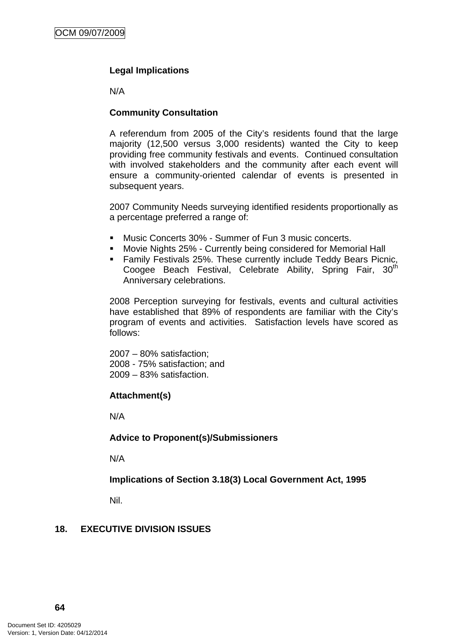# <span id="page-67-0"></span>**Legal Implications**

N/A

# **Community Consultation**

A referendum from 2005 of the City's residents found that the large majority (12,500 versus 3,000 residents) wanted the City to keep providing free community festivals and events. Continued consultation with involved stakeholders and the community after each event will ensure a community-oriented calendar of events is presented in subsequent years.

2007 Community Needs surveying identified residents proportionally as a percentage preferred a range of:

- Music Concerts 30% Summer of Fun 3 music concerts.
- Movie Nights 25% Currently being considered for Memorial Hall
- **Family Festivals 25%. These currently include Teddy Bears Picnic,** Coogee Beach Festival, Celebrate Ability, Spring Fair, 30<sup>th</sup> Anniversary celebrations.

2008 Perception surveying for festivals, events and cultural activities have established that 89% of respondents are familiar with the City's program of events and activities. Satisfaction levels have scored as follows:

2007 – 80% satisfaction; 2008 - 75% satisfaction; and 2009 – 83% satisfaction.

#### **Attachment(s)**

N/A

#### **Advice to Proponent(s)/Submissioners**

N/A

**Implications of Section 3.18(3) Local Government Act, 1995**

Nil.

# **18. EXECUTIVE DIVISION ISSUES**